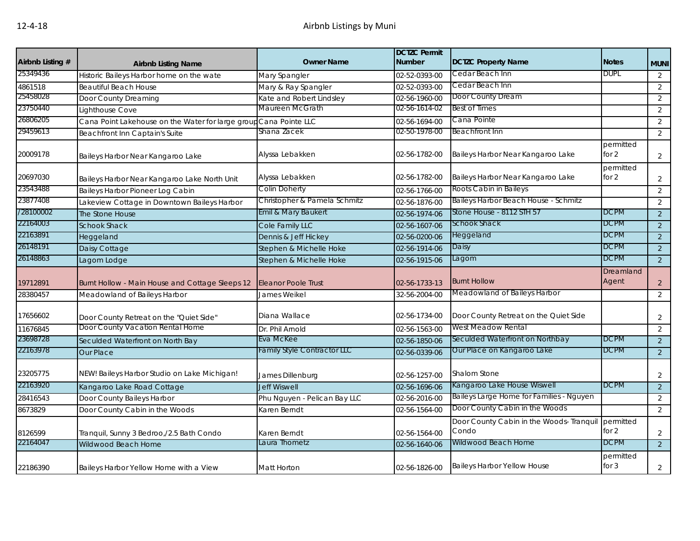| Airbnb Listing # | <b>Airbnb Listing Name</b>                                        | <b>Owner Name</b>                  | <b>DCTZC Permit</b><br><b>Number</b> | <b>DCTZC Property Name</b>                        | <b>Notes</b>         | <b>MUNI</b>    |
|------------------|-------------------------------------------------------------------|------------------------------------|--------------------------------------|---------------------------------------------------|----------------------|----------------|
| 25349436         | Historic Baileys Harbor home on the wate                          | Mary Spangler                      | 02-52-0393-00                        | Cedar Beach Inn                                   | <b>DUPL</b>          | 2              |
| 4861518          | <b>Beautiful Beach House</b>                                      | Mary & Ray Spangler                | 02-52-0393-00                        | Cedar Beach Inn                                   |                      | $\overline{2}$ |
| 25458028         | Door County Dreaming                                              | Kate and Robert Lindsley           | 02-56-1960-00                        | Door County Dream                                 |                      | 2              |
| 23750440         | Lighthouse Cove                                                   | Maureen McGrath                    | 02-56-1614-02                        | <b>Best of Times</b>                              |                      | 2              |
| 26806205         | Cana Point Lakehouse on the Water for large group Cana Pointe LLC |                                    | 02-56-1694-00                        | Cana Pointe                                       |                      | 2              |
| 29459613         | Beachfront Inn Captain's Suite                                    | Shana Zacek                        | 02-50-1978-00                        | <b>Beachfront Inn</b>                             |                      | 2              |
| 20009178         | Baileys Harbor Near Kangaroo Lake                                 | Alyssa Lebakken                    | 02-56-1782-00                        | Baileys Harbor Near Kangaroo Lake                 | permitted<br>for $2$ | 2              |
| 20697030         | Baileys Harbor Near Kangaroo Lake North Unit                      | Alyssa Lebakken                    | 02-56-1782-00                        | Baileys Harbor Near Kangaroo Lake                 | permitted<br>for 2   | $\overline{2}$ |
| 23543488         | Baileys Harbor Pioneer Log Cabin                                  | Colin Doherty                      | 02-56-1766-00                        | Roots Cabin in Baileys                            |                      | $\overline{2}$ |
| 23877408         | Lakeview Cottage in Downtown Baileys Harbor                       | Christopher & Pamela Schmitz       | 02-56-1876-00                        | Baileys Harbor Beach House - Schmitz              |                      | 2              |
| /28100002        | The Stone House                                                   | Emil & Mary Baukert                | 02-56-1974-06                        | Stone House - 8112 STH 57                         | <b>DCPM</b>          | $\overline{2}$ |
| 22164003         | <b>Schook Shack</b>                                               | Cole Family LLC                    | 02-56-1607-06                        | <b>Schook Shack</b>                               | <b>DCPM</b>          | $\overline{2}$ |
| 22163891         | Heggeland                                                         | Dennis & Jeff Hickey               | 02-56-0200-06                        | Heggeland                                         | <b>DCPM</b>          | $\overline{2}$ |
| 26148191         | Daisy Cottage                                                     | Stephen & Michelle Hoke            | 02-56-1914-06                        | Daisy                                             | DCPM                 | 2              |
| 26148863         | Lagom Lodge                                                       | Stephen & Michelle Hoke            | 02-56-1915-06                        | Lagom                                             | DCPM                 | 2              |
| 19712891         | Burnt Hollow - Main House and Cottage Sleeps 12                   | Eleanor Poole Trust                | 02-56-1733-13                        | <b>Burnt Hollow</b>                               | Dreamland<br>Agent   | $\overline{2}$ |
| 28380457         | Meadowland of Baileys Harbor                                      | James Weikel                       | 32-56-2004-00                        | Meadowland of Baileys Harbor                      |                      | $\overline{2}$ |
| 17656602         | Door County Retreat on the "Quiet Side"                           | Diana Wallace                      | 02-56-1734-00                        | Door County Retreat on the Quiet Side             |                      | 2              |
| 11676845         | Door County Vacation Rental Home                                  | Dr. Phil Arnold                    | 02-56-1563-00                        | West Meadow Rental                                |                      | 2              |
| 23698728         | Seculded Waterfront on North Bay                                  | Eva McKee                          | 02-56-1850-06                        | Seculded Waterfront on Northbay                   | <b>DCPM</b>          | $\overline{2}$ |
| 22163978         | <b>Our Place</b>                                                  | <b>Family Style Contractor LLC</b> | 02-56-0339-06                        | Our Place on Kangaroo Lake                        | <b>DCPM</b>          | 2              |
| 23205775         | NEW! Baileys Harbor Studio on Lake Michigan!                      | James Dillenburg                   | 02-56-1257-00                        | Shalom Stone                                      |                      | 2              |
| 22163920         | Kangaroo Lake Road Cottage                                        | <b>Jeff Wiswell</b>                | 02-56-1696-06                        | Kangaroo Lake House Wiswell                       | <b>DCPM</b>          | 2              |
| 28416543         | Door County Baileys Harbor                                        | Phu Nguyen - Pelican Bay LLC       | 02-56-2016-00                        | Baileys Large Home for Families - Nguyen          |                      | 2              |
| 8673829          | Door County Cabin in the Woods                                    | Karen Berndt                       | 02-56-1564-00                        | Door County Cabin in the Woods                    |                      | 2              |
| 8126599          | Tranquil, Sunny 3 Bedroo,/2.5 Bath Condo                          | Karen Berndt                       | 02-56-1564-00                        | Door County Cabin in the Woods- Tranquil<br>Condo | permitted<br>for 2   | $\overline{2}$ |
| 22164047         | Wildwood Beach Home                                               | Laura Thometz                      | 02-56-1640-06                        | Wildwood Beach Home                               | <b>DCPM</b>          | $\overline{2}$ |
| 22186390         | Baileys Harbor Yellow Home with a View                            | <b>Matt Horton</b>                 | 02-56-1826-00                        | <b>Baileys Harbor Yellow House</b>                | permitted<br>for $3$ | $\overline{2}$ |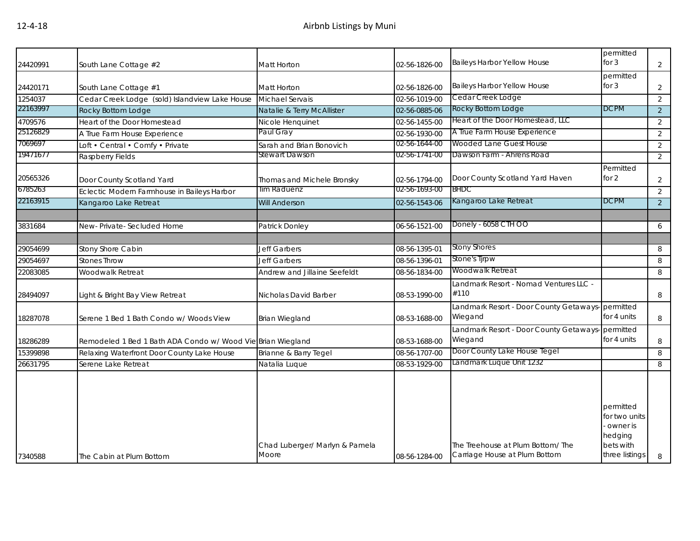| 24420991 | South Lane Cottage #2                                       | Matt Horton                             | 02-56-1826-00 | <b>Baileys Harbor Yellow House</b>                                | permitted<br>for $3$                                                             | $\overline{2}$ |
|----------|-------------------------------------------------------------|-----------------------------------------|---------------|-------------------------------------------------------------------|----------------------------------------------------------------------------------|----------------|
| 24420171 | South Lane Cottage #1                                       | Matt Horton                             | 02-56-1826-00 | <b>Baileys Harbor Yellow House</b>                                | permitted<br>for $3$                                                             | 2              |
| 1254037  | Cedar Creek Lodge (sold) Islandview Lake House              | Michael Servais                         | 02-56-1019-00 | Cedar Creek Lodge                                                 |                                                                                  | 2              |
| 22163997 | <b>Rocky Bottom Lodge</b>                                   | Natalie & Terry McAllister              | 02-56-0885-06 | Rocky Bottom Lodge                                                | <b>DCPM</b>                                                                      | 2              |
| 4709576  | Heart of the Door Homestead                                 | Nicole Henquinet                        | 02-56-1455-00 | Heart of the Door Homestead, LLC                                  |                                                                                  | 2              |
| 25126829 | A True Farm House Experience                                | Paul Gray                               | 02-56-1930-00 | A True Farm House Experience                                      |                                                                                  | 2              |
| 7069697  | Loft • Central • Comfy • Private                            | Sarah and Brian Bonovich                | 02-56-1644-00 | Wooded Lane Guest House                                           |                                                                                  | 2              |
| 19471677 | Raspberry Fields                                            | Stewart Dawson                          | 02-56-1741-00 | Dawson Farm - Ahrens Road                                         |                                                                                  | 2              |
| 20565326 | Door County Scotland Yard                                   | Thomas and Michele Bronsky              | 02-56-1794-00 | Door County Scotland Yard Haven                                   | Permitted<br>for $2$                                                             | 2              |
| 6785263  | Eclectic Modern Farmhouse in Baileys Harbor                 | Tim Raduenz                             | 02-56-1693-00 | <b>BHDC</b>                                                       |                                                                                  | 2              |
| 22163915 | Kangaroo Lake Retreat                                       | <b>Will Anderson</b>                    | 02-56-1543-06 | Kangaroo Lake Retreat                                             | <b>DCPM</b>                                                                      | $\overline{2}$ |
|          |                                                             |                                         |               |                                                                   |                                                                                  |                |
| 3831684  | New-Private-Secluded Home                                   | Patrick Donley                          | 06-56-1521-00 | Donely - 6058 CTH OO                                              |                                                                                  | 6              |
|          |                                                             |                                         |               |                                                                   |                                                                                  |                |
| 29054699 | Stony Shore Cabin                                           | Jeff Garbers                            | 08-56-1395-01 | <b>Stony Shores</b>                                               |                                                                                  | 8              |
| 29054697 | <b>Stones Throw</b>                                         | <b>Jeff Garbers</b>                     | 08-56-1396-01 | Stone's Tjrpw                                                     |                                                                                  | 8              |
| 22083085 | Woodwalk Retreat                                            | Andrew and Jillaine Seefeldt            | 08-56-1834-00 | Woodwalk Retreat                                                  |                                                                                  | 8              |
| 28494097 | Light & Bright Bay View Retreat                             | Nicholas David Barber                   | 08-53-1990-00 | Landmark Resort - Nomad Ventures LLC -<br>#110                    |                                                                                  | 8              |
| 18287078 | Serene 1 Bed 1 Bath Condo w/ Woods View                     | <b>Brian Wiegland</b>                   | 08-53-1688-00 | Landmark Resort - Door County Getaways-permitted<br>Wiegand       | for 4 units                                                                      | 8              |
| 18286289 | Remodeled 1 Bed 1 Bath ADA Condo w/ Wood Vie Brian Wiegland |                                         | 08-53-1688-00 | Landmark Resort - Door County Getaways- permitted<br>Wiegand      | for 4 units                                                                      | 8              |
| 15399898 | Relaxing Waterfront Door County Lake House                  | Brianne & Barry Tegel                   | 08-56-1707-00 | Door County Lake House Tegel                                      |                                                                                  | 8              |
| 26631795 | Serene Lake Retreat                                         | Natalia Luque                           | 08-53-1929-00 | Landmark Luque Unit 1232                                          |                                                                                  | 8              |
| 7340588  | The Cabin at Plum Bottom                                    | Chad Luberger/ Marlyn & Pamela<br>Moore | 08-56-1284-00 | The Treehouse at Plum Bottom/The<br>Carriage House at Plum Bottom | permitted<br>for two units<br>owner is<br>hedging<br>bets with<br>three listings | 8              |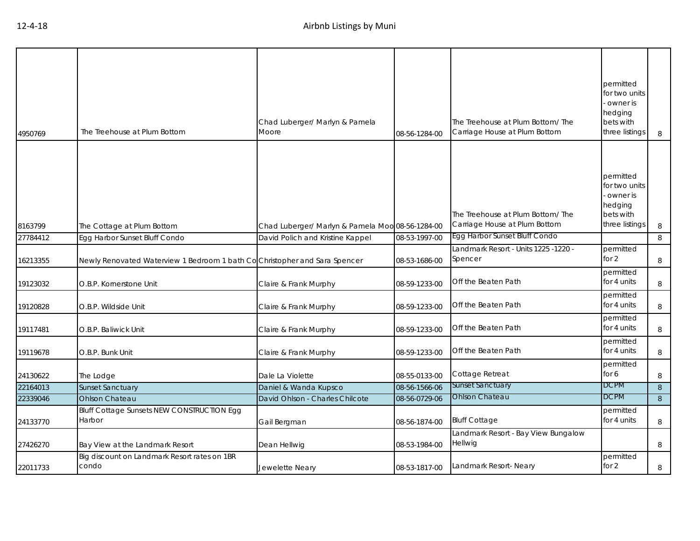| 4950769  | The Treehouse at Plum Bottom                                              | Chad Luberger/ Marlyn & Pamela<br>Moore          | 08-56-1284-00 | The Treehouse at Plum Bottom/ The<br>Carriage House at Plum Bottom | permitted<br>for two units<br>- owner is<br>hedging<br>bets with<br>three listings | 8 |
|----------|---------------------------------------------------------------------------|--------------------------------------------------|---------------|--------------------------------------------------------------------|------------------------------------------------------------------------------------|---|
| 8163799  | The Cottage at Plum Bottom                                                | Chad Luberger/ Marlyn & Pamela Moo 08-56-1284-00 |               | The Treehouse at Plum Bottom/The<br>Carriage House at Plum Bottom  | permitted<br>for two units<br>owner is<br>hedging<br>bets with<br>three listings   | 8 |
| 27784412 | Egg Harbor Sunset Bluff Condo                                             | David Polich and Kristine Kappel                 | 08-53-1997-00 | Egg Harbor Sunset Bluff Condo                                      |                                                                                    | 8 |
| 16213355 | Newly Renovated Waterview 1 Bedroom 1 bath CoChristopher and Sara Spencer |                                                  | 08-53-1686-00 | Landmark Resort - Units 1225 -1220 -<br>Spencer                    | permitted<br>for $2$                                                               | 8 |
| 19123032 | O.B.P. Kornerstone Unit                                                   | Claire & Frank Murphy                            | 08-59-1233-00 | Off the Beaten Path                                                | permitted<br>for 4 units                                                           | 8 |
| 19120828 | O.B.P. Wildside Unit                                                      | Claire & Frank Murphy                            | 08-59-1233-00 | Off the Beaten Path                                                | permitted<br>for 4 units                                                           | 8 |
| 19117481 | O.B.P. Baliwick Unit                                                      | Claire & Frank Murphy                            | 08-59-1233-00 | Off the Beaten Path                                                | permitted<br>for 4 units                                                           | 8 |
| 19119678 | O.B.P. Bunk Unit                                                          | Claire & Frank Murphy                            | 08-59-1233-00 | Off the Beaten Path                                                | permitted<br>for 4 units                                                           | 8 |
| 24130622 | The Lodge                                                                 | Dale La Violette                                 | 08-55-0133-00 | Cottage Retreat                                                    | permitted<br>for 6                                                                 | 8 |
| 22164013 | <b>Sunset Sanctuary</b>                                                   | Daniel & Wanda Kupsco                            | 08-56-1566-06 | <b>Sunset Sanctuary</b>                                            | <b>DCPM</b>                                                                        | 8 |
| 22339046 | <b>Ohlson Chateau</b>                                                     | David Ohlson - Charles Chilcote                  | 08-56-0729-06 | Ohlson Chateau                                                     | <b>DCPM</b>                                                                        | 8 |
| 24133770 | <b>Bluff Cottage Sunsets NEW CONSTRUCTION Egg</b><br>Harbor               | Gail Bergman                                     | 08-56-1874-00 | <b>Bluff Cottage</b>                                               | permitted<br>for 4 units                                                           | 8 |
| 27426270 | Bay View at the Landmark Resort                                           | Dean Hellwig                                     | 08-53-1984-00 | Landmark Resort - Bay View Bungalow<br>Hellwig                     |                                                                                    | 8 |
| 22011733 | Big discount on Landmark Resort rates on 1BR<br>condo                     | Jewelette Neary                                  | 08-53-1817-00 | Landmark Resort- Neary                                             | permitted<br>for 2                                                                 | 8 |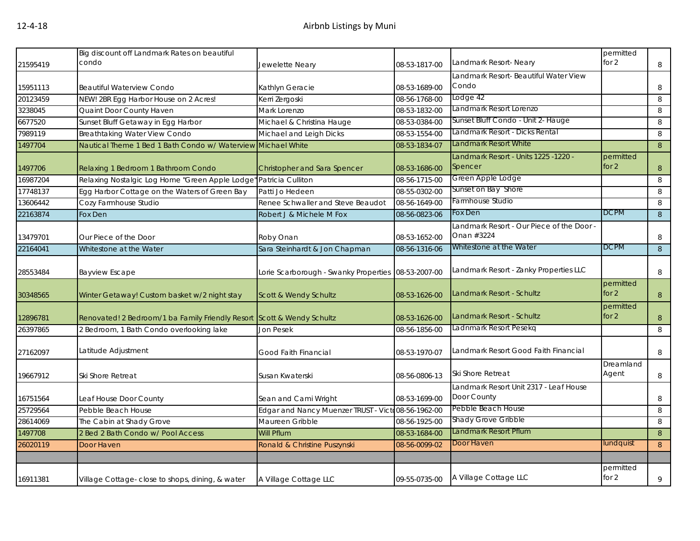| 21595419 | Big discount off Landmark Rates on beautiful<br>condo                  | Jewelette Neary                                    | 08-53-1817-00 | Landmark Resort- Neary                                  | permitted<br>for $2$ | 8 |
|----------|------------------------------------------------------------------------|----------------------------------------------------|---------------|---------------------------------------------------------|----------------------|---|
|          |                                                                        |                                                    |               | Landmark Resort- Beautiful Water View                   |                      |   |
| 15951113 | <b>Beautiful Waterview Condo</b>                                       | Kathlyn Geracie                                    | 08-53-1689-00 | Condo                                                   |                      | 8 |
| 20123459 | NEW! 2BR Egg Harbor House on 2 Acres!                                  | Kerri Zergoski                                     | 08-56-1768-00 | Lodge 42                                                |                      | 8 |
| 3238045  | Quaint Door County Haven                                               | Mark Lorenzo                                       | 08-53-1832-00 | Landmark Resort Lorenzo                                 |                      | 8 |
| 6677520  | Sunset Bluff Getaway in Egg Harbor                                     | Michael & Christina Hauge                          | 08-53-0384-00 | Sunset Bluff Condo - Unit 2- Hauge                      |                      | 8 |
| 7989119  | <b>Breathtaking Water View Condo</b>                                   | Michael and Leigh Dicks                            | 08-53-1554-00 | Landmark Resort - Dicks Rental                          |                      | 8 |
| 1497704  | Nautical Theme 1 Bed 1 Bath Condo w/ Waterview Michael White           |                                                    | 08-53-1834-07 | Landmark Resort White                                   |                      | 8 |
| 1497706  | Relaxing 1 Bedroom 1 Bathroom Condo                                    | Christopher and Sara Spencer                       | 08-53-1686-00 | Landmark Resort - Units 1225 -1220 -<br>Spencer         | permitted<br>for $2$ | 8 |
| 16987204 | Relaxing Nostalgic Log Home "Green Apple Lodge"                        | Patricia Culliton                                  | 08-56-1715-00 | Green Apple Lodge                                       |                      | 8 |
| 17748137 | Egg Harbor Cottage on the Waters of Green Bay                          | Patti Jo Hedeen                                    | 08-55-0302-00 | Sunset on Bay Shore                                     |                      | 8 |
| 13606442 | Cozy Farmhouse Studio                                                  | Renee Schwaller and Steve Beaudot                  | 08-56-1649-00 | Farmhouse Studio                                        |                      | 8 |
| 22163874 | Fox Den                                                                | Robert J & Michele M Fox                           | 08-56-0823-06 | Fox Den                                                 | <b>DCPM</b>          | 8 |
| 13479701 | Our Piece of the Door                                                  | Roby Onan                                          | 08-53-1652-00 | Landmark Resort - Our Piece of the Door -<br>Onan #3224 |                      | 8 |
| 22164041 | Whitestone at the Water                                                | Sara Steinhardt & Jon Chapman                      | 08-56-1316-06 | Whitestone at the Water                                 | <b>DCPM</b>          | 8 |
| 28553484 | <b>Bayview Escape</b>                                                  | Lorie Scarborough - Swanky Properties              | 08-53-2007-00 | Landmark Resort - Zanky Properties LLC                  |                      | 8 |
| 30348565 | Winter Getaway! Custom basket w/2 night stay                           | Scott & Wendy Schultz                              | 08-53-1626-00 | Landmark Resort - Schultz                               | permitted<br>for $2$ | 8 |
| 12896781 | Renovated! 2 Bedroom/1 ba Family Friendly Resort Scott & Wendy Schultz |                                                    | 08-53-1626-00 | Landmark Resort - Schultz                               | permitted<br>for $2$ | 8 |
| 26397865 | 2 Bedroom, 1 Bath Condo overlooking lake                               | <b>Jon Pesek</b>                                   | 08-56-1856-00 | Ladnmark Resort Pesekq                                  |                      | 8 |
| 27162097 | Latitude Adjustment                                                    | Good Faith Financial                               | 08-53-1970-07 | Landmark Resort Good Faith Financial                    |                      | 8 |
| 19667912 | Ski Shore Retreat                                                      | Susan Kwaterski                                    | 08-56-0806-13 | Ski Shore Retreat                                       | Dreamland<br>Agent   | 8 |
| 16751564 | Leaf House Door County                                                 | Sean and Cami Wright                               | 08-53-1699-00 | Landmark Resort Unit 2317 - Leaf House<br>Door County   |                      | 8 |
| 25729564 | Pebble Beach House                                                     | Edgar and Nancy Muenzer TRUST - Victo08-56-1962-00 |               | Pebble Beach House                                      |                      | 8 |
| 28614069 | The Cabin at Shady Grove                                               | Maureen Gribble                                    | 08-56-1925-00 | <b>Shady Grove Gribble</b>                              |                      | 8 |
| 1497708  | 2 Bed 2 Bath Condo w/ Pool Access                                      | <b>Will Pflum</b>                                  | 08-53-1684-00 | Landmark Resort Pflum                                   |                      | 8 |
| 26020119 | Door Haven                                                             | Ronald & Christine Puszynski                       | 08-56-0099-02 | Door Haven                                              | undquist             | 8 |
|          |                                                                        |                                                    |               |                                                         |                      |   |
| 16911381 | Village Cottage- close to shops, dining, & water                       | A Village Cottage LLC                              | 09-55-0735-00 | A Village Cottage LLC                                   | permitted<br>for 2   | 9 |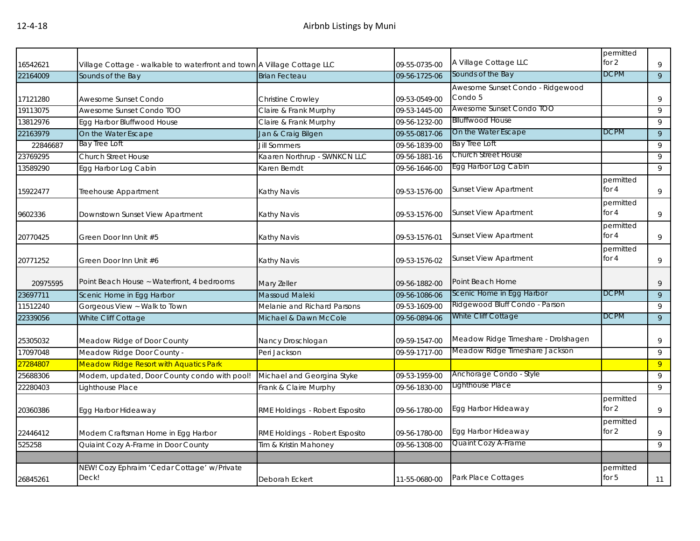| 16542621 | Village Cottage - walkable to waterfront and town A Village Cottage LLC |                                | 09-55-0735-00 | A Village Cottage LLC                       | permitted<br>for $2$ | 9              |
|----------|-------------------------------------------------------------------------|--------------------------------|---------------|---------------------------------------------|----------------------|----------------|
| 22164009 | Sounds of the Bay                                                       | <b>Brian Fecteau</b>           | 09-56-1725-06 | Sounds of the Bay                           | <b>DCPM</b>          | 9              |
| 17121280 | Awesome Sunset Condo                                                    | <b>Christine Crowley</b>       | 09-53-0549-00 | Awesome Sunset Condo - Ridgewood<br>Condo 5 |                      | 9              |
| 19113075 | Awesome Sunset Condo TOO                                                | Claire & Frank Murphy          | 09-53-1445-00 | Awesome Sunset Condo TOO                    |                      | 9              |
| 13812976 | Egg Harbor Bluffwood House                                              | Claire & Frank Murphy          | 09-56-1232-00 | <b>Blluffwood House</b>                     |                      | 9              |
| 22163979 | On the Water Escape                                                     | Jan & Craig Bilgen             | 09-55-0817-06 | On the Water Escape                         | <b>DCPM</b>          | 9              |
| 22846687 | Bay Tree Loft                                                           | <b>Jill Sommers</b>            | 09-56-1839-00 | <b>Bay Tree Loft</b>                        |                      | 9              |
| 23769295 | <b>Church Street House</b>                                              | Kaaren Northrup - SWNKCN LLC   | 09-56-1881-16 | <b>Church Street House</b>                  |                      | 9              |
| 13589290 | Egg Harbor Log Cabin                                                    | Karen Berndt                   | 09-56-1646-00 | Egg Harbor Log Cabin                        |                      | 9              |
| 15922477 | Treehouse Appartment                                                    | Kathy Navis                    | 09-53-1576-00 | <b>Sunset View Apartment</b>                | permitted<br>for $4$ | 9              |
| 9602336  | Downstown Sunset View Apartment                                         | Kathy Navis                    | 09-53-1576-00 | <b>Sunset View Apartment</b>                | permitted<br>for $4$ | 9              |
| 20770425 | Green Door Inn Unit #5                                                  | Kathy Navis                    | 09-53-1576-01 | <b>Sunset View Apartment</b>                | permitted<br>for 4   | 9              |
| 20771252 | Green Door Inn Unit #6                                                  | Kathy Navis                    | 09-53-1576-02 | <b>Sunset View Apartment</b>                | permitted<br>for $4$ | 9              |
| 20975595 | Point Beach House ~ Waterfront, 4 bedrooms                              | Mary Zeller                    | 09-56-1882-00 | Point Beach Home                            |                      | 9              |
| 23697711 | Scenic Home in Egg Harbor                                               | Massoud Maleki                 | 09-56-1086-06 | Scenic Home in Egg Harbor                   | <b>DCPM</b>          | 9              |
| 11512240 | Gorgeous View ~ Walk to Town                                            | Melanie and Richard Parsons    | 09-53-1609-00 | Ridgewood Bluff Condo - Parson              |                      | 9              |
| 22339056 | White Cliff Cottage                                                     | Michael & Dawn McCole          | 09-56-0894-06 | White Cliff Cottage                         | <b>DCPM</b>          | 9              |
| 25305032 | Meadow Ridge of Door County                                             | Nancy Droschlogan              | 09-59-1547-00 | Meadow Ridge Timeshare - Drolshagen         |                      | 9              |
| 17097048 | Meadow Ridge Door County -                                              | Peri Jackson                   | 09-59-1717-00 | Meadow Ridge Timeshare Jackson              |                      | 9              |
| 27284807 | <b>Meadow Ridge Resort with Aquatics Park</b>                           |                                |               |                                             |                      | $\overline{9}$ |
| 25688306 | Modern, updated, Door County condo with pool!                           | Michael and Georgina Styke     | 09-53-1959-00 | Anchorage Condo - Style                     |                      | 9              |
| 22280403 | Lighthouse Place                                                        | Frank & Claire Murphy          | 09-56-1830-00 | Lighthouse Place                            |                      | 9              |
| 20360386 | Egg Harbor Hideaway                                                     | RME Holdings - Robert Esposito | 09-56-1780-00 | Egg Harbor Hideaway                         | permitted<br>for $2$ | 9              |
| 22446412 | Modern Craftsman Home in Egg Harbor                                     | RME Holdings - Robert Esposito | 09-56-1780-00 | Egg Harbor Hideaway                         | permitted<br>for $2$ | 9              |
| 525258   | Quiaint Cozy A-Frame in Door County                                     | Tim & Kristin Mahoney          | 09-56-1308-00 | Quaint Cozy A-Frame                         |                      | 9              |
|          |                                                                         |                                |               |                                             |                      |                |
| 26845261 | NEW! Cozy Ephraim 'Cedar Cottage' w/Private<br>Deck!                    | Deborah Eckert                 | 11-55-0680-00 | Park Place Cottages                         | permitted<br>for $5$ | 11             |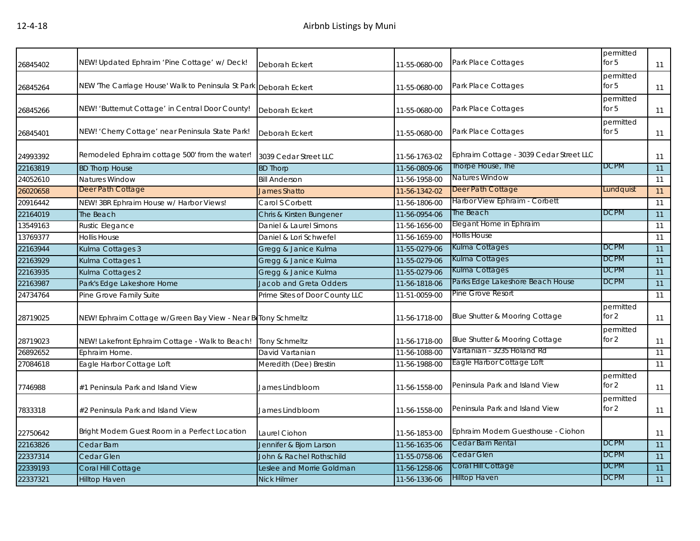| 26845402 | NEW! Updated Ephraim 'Pine Cottage' w/ Deck!                      | Deborah Eckert                 | 11-55-0680-00 | Park Place Cottages                     | permitted<br>for $5$ | 11 |
|----------|-------------------------------------------------------------------|--------------------------------|---------------|-----------------------------------------|----------------------|----|
| 26845264 | NEW 'The Carriage House' Walk to Peninsula St Park Deborah Eckert |                                | 11-55-0680-00 | Park Place Cottages                     | permitted<br>for $5$ | 11 |
| 26845266 | NEW! 'Butternut Cottage' in Central Door County!                  | Deborah Eckert                 | 11-55-0680-00 | Park Place Cottages                     | permitted<br>for $5$ | 11 |
| 26845401 | NEW! 'Cherry Cottage' near Peninsula State Park!                  | Deborah Eckert                 | 11-55-0680-00 | Park Place Cottages                     | permitted<br>for $5$ | 11 |
| 24993392 | Remodeled Ephraim cottage 500' from the water!                    | 3039 Cedar Street LLC          | 11-56-1763-02 | Ephraim Cottage - 3039 Cedar Street LLC |                      | 11 |
| 22163819 | <b>BD Thorp House</b>                                             | <b>BD Thorp</b>                | 11-56-0809-06 | Thorpe House, The                       | <b>DCPM</b>          | 11 |
| 24052610 | Natures Window                                                    | <b>Bill Anderson</b>           | 11-56-1958-00 | Natures Window                          |                      | 11 |
| 26020658 | Deer Path Cottage                                                 | <b>James Shatto</b>            | 11-56-1342-02 | Deer Path Cottage                       | Lundquist            | 11 |
| 20916442 | NEW! 3BR Ephraim House w/ Harbor Views!                           | Carol S Corbett                | 11-56-1806-00 | Harbor View Ephraim - Corbett           |                      | 11 |
| 22164019 | The Beach                                                         | Chris & Kirsten Bungener       | 11-56-0954-06 | The Beach                               | <b>DCPM</b>          | 11 |
| 13549163 | Rustic Elegance                                                   | Daniel & Laurel Simons         | 11-56-1656-00 | Elegant Home in Ephraim                 |                      | 11 |
| 13769377 | <b>Hollis House</b>                                               | Daniel & Lori Schwefel         | 11-56-1659-00 | <b>Hollis House</b>                     |                      | 11 |
| 22163944 | Kulma Cottages 3                                                  | Gregg & Janice Kulma           | 11-55-0279-06 | Kulma Cottages                          | <b>DCPM</b>          | 11 |
| 22163929 | Kulma Cottages 1                                                  | Gregg & Janice Kulma           | 11-55-0279-06 | Kulma Cottages                          | <b>DCPM</b>          | 11 |
| 22163935 | Kulma Cottages 2                                                  | Gregg & Janice Kulma           | 11-55-0279-06 | Kulma Cottages                          | <b>DCPM</b>          | 11 |
| 22163987 | Park's Edge Lakeshore Home                                        | <b>Jacob and Greta Odders</b>  | 11-56-1818-06 | Parks Edge Lakeshore Beach House        | DCPM                 | 11 |
| 24734764 | Pine Grove Family Suite                                           | Prime Sites of Door County LLC | 11-51-0059-00 | Pine Grove Resort                       |                      | 11 |
| 28719025 | NEW! Ephraim Cottage w/Green Bay View - Near BeTony Schmeltz      |                                | 11-56-1718-00 | Blue Shutter & Mooring Cottage          | permitted<br>for 2   | 11 |
| 28719023 | NEW! Lakefront Ephraim Cottage - Walk to Beach!                   | <b>Tony Schmeltz</b>           | 11-56-1718-00 | Blue Shutter & Mooring Cottage          | permitted<br>for $2$ | 11 |
| 26892652 | Ephraim Home.                                                     | David Vartanian                | 11-56-1088-00 | Vartanian - 3235 Holand Rd              |                      | 11 |
| 27084618 | Eagle Harbor Cottage Loft                                         | Meredith (Dee) Brestin         | 11-56-1988-00 | Eagle Harbor Cottage Loft               |                      | 11 |
| 7746988  | #1 Peninsula Park and Island View                                 | James Lindbloom                | 11-56-1558-00 | Peninsula Park and Island View          | permitted<br>for $2$ | 11 |
| 7833318  | #2 Peninsula Park and Island View                                 | James Lindbloom                | 11-56-1558-00 | Peninsula Park and Island View          | permitted<br>for 2   | 11 |
| 22750642 | Bright Modern Guest Room in a Perfect Location                    | Laurel Ciohon                  | 11-56-1853-00 | Ephraim Modern Guesthouse - Ciohon      |                      | 11 |
| 22163826 | Cedar Barn                                                        | Jennifer & Bjorn Larson        | 11-56-1635-06 | Cedar Barn Rental                       | <b>DCPM</b>          | 11 |
| 22337314 | <b>Cedar Glen</b>                                                 | John & Rachel Rothschild       | 11-55-0758-06 | Cedar Glen                              | <b>DCPM</b>          | 11 |
| 22339193 | Coral Hill Cottage                                                | Leslee and Morrie Goldman      | 11-56-1258-06 | Coral Hill Cottage                      | <b>DCPM</b>          | 11 |
| 22337321 | Hilltop Haven                                                     | <b>Nick Hilmer</b>             | 11-56-1336-06 | <b>Hilltop Haven</b>                    | <b>DCPM</b>          | 11 |
|          |                                                                   |                                |               |                                         |                      |    |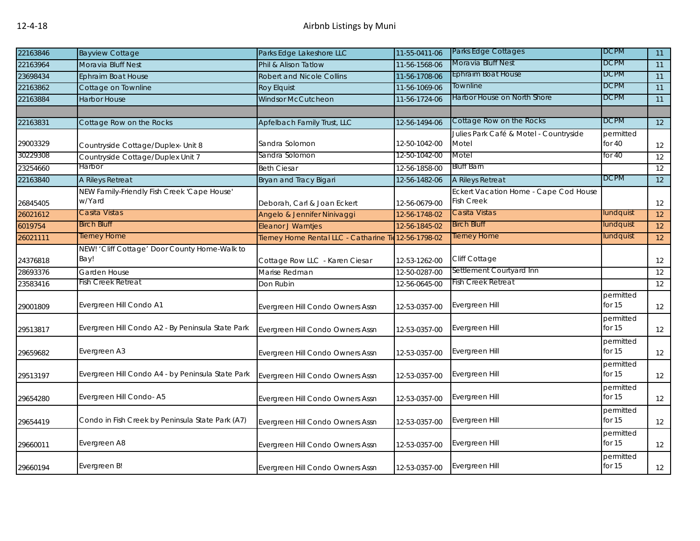| 22163846 | <b>Bayview Cottage</b>                                | Parks Edge Lakeshore LLC                              | 11-55-0411-06 | <b>Parks Edge Cottages</b>                                 | <b>DCPM</b>           | 11 |
|----------|-------------------------------------------------------|-------------------------------------------------------|---------------|------------------------------------------------------------|-----------------------|----|
| 22163964 | Moravia Bluff Nest                                    | Phil & Alison Tatlow                                  | 11-56-1568-06 | Moravia Bluff Nest                                         | <b>DCPM</b>           | 11 |
| 23698434 | Ephraim Boat House                                    | <b>Robert and Nicole Collins</b>                      | 11-56-1708-06 | <b>Ephraim Boat House</b>                                  | <b>DCPM</b>           | 11 |
| 22163862 | Cottage on Townline                                   | Roy Elquist                                           | 11-56-1069-06 | Townline                                                   | <b>DCPM</b>           | 11 |
| 22163884 | <b>Harbor House</b>                                   | Windsor McCutcheon                                    | 11-56-1724-06 | Harbor House on North Shore                                | <b>DCPM</b>           | 11 |
|          |                                                       |                                                       |               |                                                            |                       |    |
| 22163831 | Cottage Row on the Rocks                              | <b>Apfelbach Family Trust, LLC</b>                    | 12-56-1494-06 | Cottage Row on the Rocks                                   | <b>DCPM</b>           | 12 |
| 29003329 | Countryside Cottage/Duplex- Unit 8                    | Sandra Solomon                                        | 12-50-1042-00 | Julies Park Café & Motel - Countryside<br>Motel            | permitted<br>for $40$ | 12 |
| 30229308 | Countryside Cottage/Duplex Unit 7                     | Sandra Solomon                                        | 12-50-1042-00 | Motel                                                      | for $40$              | 12 |
| 23254660 | Harbor                                                | <b>Beth Ciesar</b>                                    | 12-56-1858-00 | <b>Bluff Barn</b>                                          |                       | 12 |
| 22163840 | A Rileys Retreat                                      | Bryan and Tracy Bigari                                | 12-56-1482-06 | A Rileys Retreat                                           | <b>DCPM</b>           | 12 |
| 26845405 | NEW Family-Friendly Fish Creek 'Cape House'<br>w/Yard | Deborah, Carl & Joan Eckert                           | 12-56-0679-00 | Eckert Vacation Home - Cape Cod House<br><b>Fish Creek</b> |                       | 12 |
| 26021612 | Casita Vistas                                         | Angelo & Jennifer Ninivaggi                           | 12-56-1748-02 | Casita Vistas                                              | lundquist             | 12 |
| 6019754  | Birch Bluff                                           | Eleanor J Warntjes                                    | 12-56-1845-02 | <b>Birch Bluff</b>                                         | lundquist             | 12 |
| 26021111 | Tierney Home                                          | Tierney Home Rental LLC - Catharine Tie 12-56-1798-02 |               | Tierney Home                                               | lundquist             | 12 |
| 24376818 | NEW! 'Cliff Cottage' Door County Home-Walk to<br>Bay! | Cottage Row LLC - Karen Ciesar                        | 12-53-1262-00 | Cliff Cottage                                              |                       | 12 |
| 28693376 | Garden House                                          | Marise Redman                                         | 12-50-0287-00 | Settlement Courtyard Inn                                   |                       | 12 |
| 23583416 | Fish Creek Retreat                                    | Don Rubin                                             | 12-56-0645-00 | <b>Fish Creek Retreat</b>                                  |                       | 12 |
| 29001809 | Evergreen Hill Condo A1                               | Evergreen Hill Condo Owners Assn                      | 12-53-0357-00 | Evergreen Hill                                             | permitted<br>for $15$ | 12 |
| 29513817 | Evergreen Hill Condo A2 - By Peninsula State Park     | Evergreen Hill Condo Owners Assn                      | 12-53-0357-00 | Evergreen Hill                                             | permitted<br>for $15$ | 12 |
| 29659682 | Evergreen A3                                          | Evergreen Hill Condo Owners Assn                      | 12-53-0357-00 | Evergreen Hill                                             | permitted<br>for $15$ | 12 |
| 29513197 | Evergreen Hill Condo A4 - by Peninsula State Park     | Evergreen Hill Condo Owners Assn                      | 12-53-0357-00 | Evergreen Hill                                             | permitted<br>for $15$ | 12 |
| 29654280 | Evergreen Hill Condo-A5                               | Evergreen Hill Condo Owners Assn                      | 12-53-0357-00 | Evergreen Hill                                             | permitted<br>for $15$ | 12 |
| 29654419 | Condo in Fish Creek by Peninsula State Park (A7)      | Evergreen Hill Condo Owners Assn                      | 12-53-0357-00 | Evergreen Hill                                             | permitted<br>for $15$ | 12 |
| 29660011 | Evergreen A8                                          | Evergreen Hill Condo Owners Assn                      | 12-53-0357-00 | Evergreen Hill                                             | permitted<br>for $15$ | 12 |
| 29660194 | Evergreen B!                                          | Evergreen Hill Condo Owners Assn                      | 12-53-0357-00 | Evergreen Hill                                             | permitted<br>for 15   | 12 |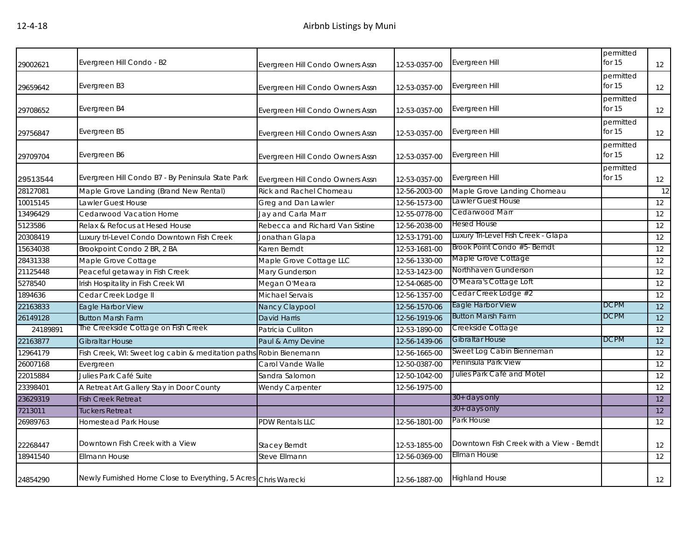| 29002621 | Evergreen Hill Condo - B2                                          | Evergreen Hill Condo Owners Assn | 12-53-0357-00 | Evergreen Hill                           | permitted<br>for $15$ | 12 |
|----------|--------------------------------------------------------------------|----------------------------------|---------------|------------------------------------------|-----------------------|----|
|          |                                                                    |                                  |               |                                          | permitted             |    |
| 29659642 | Evergreen B3                                                       | Evergreen Hill Condo Owners Assn | 12-53-0357-00 | Evergreen Hill                           | for 15                | 12 |
| 29708652 | Evergreen B4                                                       | Evergreen Hill Condo Owners Assn | 12-53-0357-00 | Evergreen Hill                           | permitted<br>for 15   | 12 |
| 29756847 | Evergreen B5                                                       | Evergreen Hill Condo Owners Assn | 12-53-0357-00 | Evergreen Hill                           | permitted<br>for $15$ | 12 |
| 29709704 | Evergreen B6                                                       | Evergreen Hill Condo Owners Assn | 12-53-0357-00 | Evergreen Hill                           | permitted<br>for $15$ | 12 |
| 29513544 | Evergreen Hill Condo B7 - By Peninsula State Park                  | Evergreen Hill Condo Owners Assn | 12-53-0357-00 | Evergreen Hill                           | permitted<br>for $15$ | 12 |
| 28127081 | Maple Grove Landing (Brand New Rental)                             | <b>Rick and Rachel Chomeau</b>   | 12-56-2003-00 | Maple Grove Landing Chomeau              |                       | 12 |
| 10015145 | Lawler Guest House                                                 | Greg and Dan Lawler              | 12-56-1573-00 | Lawler Guest House                       |                       | 12 |
| 13496429 | Cedarwood Vacation Home                                            | Jay and Carla Marr               | 12-55-0778-00 | Cedarwood Marr                           |                       | 12 |
| 5123586  | Relax & Refocus at Hesed House                                     | Rebecca and Richard Van Sistine  | 12-56-2038-00 | <b>Hesed House</b>                       |                       | 12 |
| 20308419 | Luxury tri-Level Condo Downtown Fish Creek                         | Jonathan Glapa                   | 12-53-1791-00 | Luxury Tri-Level Fish Creek - Glapa      |                       | 12 |
| 15634038 | Brookpoint Condo 2 BR, 2 BA                                        | Karen Berndt                     | 12-53-1681-00 | Brook Point Condo #5- Berndt             |                       | 12 |
| 28431338 | Maple Grove Cottage                                                | Maple Grove Cottage LLC          | 12-56-1330-00 | Maple Grove Cottage                      |                       | 12 |
| 21125448 | Peaceful getaway in Fish Creek                                     | Mary Gunderson                   | 12-53-1423-00 | Northhaven Gunderson                     |                       | 12 |
| 5278540  | Irish Hospitality in Fish Creek WI                                 | Megan O'Meara                    | 12-54-0685-00 | O'Meara's Cottage Loft                   |                       | 12 |
| 1894636  | Cedar Creek Lodge II                                               | Michael Servais                  | 12-56-1357-00 | Cedar Creek Lodge #2                     |                       | 12 |
| 22163833 | Eagle Harbor View                                                  | Nancy Claypool                   | 12-56-1570-06 | Eagle Harbor View                        | DCPM                  | 12 |
| 26149128 | <b>Button Marsh Farm</b>                                           | <b>David Harris</b>              | 12-56-1919-06 | <b>Button Marsh Farm</b>                 | DCPM                  | 12 |
| 24189891 | The Creekside Cottage on Fish Creek                                | Patricia Culliton                | 12-53-1890-00 | Creekside Cottage                        |                       | 12 |
| 22163877 | <b>Gibraltar House</b>                                             | Paul & Amy Devine                | 12-56-1439-06 | <b>Gibraltar House</b>                   | <b>DCPM</b>           | 12 |
| 12964179 | Fish Creek, WI: Sweet log cabin & meditation paths Robin Bienemann |                                  | 12-56-1665-00 | Sweet Log Cabin Bienneman                |                       | 12 |
| 26007168 | Evergreen                                                          | Carol Vande Walle                | 12-50-0387-00 | Peninsula Park View                      |                       | 12 |
| 22015884 | Julies Park Café Suite                                             | Sandra Salomon                   | 12-50-1042-00 | Julies Park Café and Motel               |                       | 12 |
| 23398401 | A Retreat Art Gallery Stay in Door County                          | Wendy Carpenter                  | 12-56-1975-00 |                                          |                       | 12 |
| 23629319 | <b>Fish Creek Retreat</b>                                          |                                  |               | 30+ days only                            |                       | 12 |
| 7213011  | <b>Tuckers Retreat</b>                                             |                                  |               | 30+ days only                            |                       | 12 |
| 26989763 | <b>Homestead Park House</b>                                        | PDW Rentals LLC                  | 12-56-1801-00 | Park House                               |                       | 12 |
| 22268447 | Downtown Fish Creek with a View                                    | <b>Stacey Berndt</b>             | 12-53-1855-00 | Downtown Fish Creek with a View - Berndt |                       | 12 |
| 18941540 | <b>Ellmann House</b>                                               | Steve Ellmann                    | 12-56-0369-00 | <b>Ellman House</b>                      |                       | 12 |
| 24854290 | Newly Furnished Home Close to Everything, 5 Acres Chris Warecki    |                                  | 12-56-1887-00 | <b>Highland House</b>                    |                       | 12 |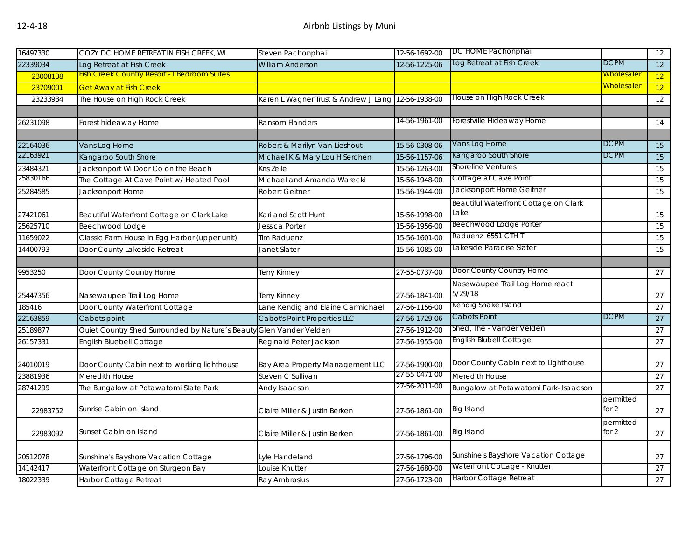| 16497330 | COZY DC HOME RETREAT IN FISH CREEK, WI              | Steven Pachonphai                    | 12-56-1692-00 | DC HOME Pachonphai                    |                   | 12 |
|----------|-----------------------------------------------------|--------------------------------------|---------------|---------------------------------------|-------------------|----|
| 22339034 | Log Retreat at Fish Creek                           | <b>William Anderson</b>              | 12-56-1225-06 | Log Retreat at Fish Creek             | <b>DCPM</b>       | 12 |
| 23008138 | <b>Fish Creek Country Resort - I Bedroom Suites</b> |                                      |               |                                       | <b>Wholesaler</b> | 12 |
| 23709001 | <b>Get Away at Fish Creek</b>                       |                                      |               |                                       | <b>Wholesaler</b> | 12 |
| 23233934 | The House on High Rock Creek                        | Karen L Wagner Trust & Andrew J Lang | 12-56-1938-00 | House on High Rock Creek              |                   | 12 |
|          |                                                     |                                      |               |                                       |                   |    |
| 26231098 | Forest hideaway Home                                | Ransom Flanders                      | 14-56-1961-00 | Forestville Hideaway Home             |                   | 14 |
|          |                                                     |                                      |               |                                       |                   |    |
| 22164036 | Vans Log Home                                       | Robert & Marilyn Van Lieshout        | 15-56-0308-06 | Vans Log Home                         | <b>DCPM</b>       | 15 |
| 22163921 | Kangaroo South Shore                                | Michael K & Mary Lou H Serchen       | 15-56-1157-06 | Kangaroo South Shore                  | <b>DCPM</b>       | 15 |
| 23484321 | Jacksonport Wi Door Co on the Beach                 | Kris Zeile                           | 15-56-1263-00 | <b>Shoreline Ventures</b>             |                   | 15 |
| 25830166 | The Cottage At Cave Point w/ Heated Pool            | Michael and Amanda Warecki           | 15-56-1948-00 | Cottage at Cave Point                 |                   | 15 |
| 25284585 | Jacksonport Home                                    | <b>Robert Geitner</b>                | 15-56-1944-00 | Jacksonport Home Geitner              |                   | 15 |
|          |                                                     |                                      |               | Beautiful Waterfront Cottage on Clark |                   |    |
| 27421061 | Beautiful Waterfront Cottage on Clark Lake          | Kari and Scott Hunt                  | 15-56-1998-00 | Lake                                  |                   | 15 |
| 25625710 | Beechwood Lodge                                     | Jessica Porter                       | 15-56-1956-00 | <b>Beechwood Lodge Porter</b>         |                   | 15 |
| 11659022 | Classic Farm House in Egg Harbor (upper unit)       | <b>Tim Raduenz</b>                   | 15-56-1601-00 | Raduenz 6551 CTH T                    |                   | 15 |
| 14400793 | Door County Lakeside Retreat                        | Janet Slater                         | 15-56-1085-00 | Lakeside Paradise Slater              |                   | 15 |
|          |                                                     |                                      |               |                                       |                   |    |
| 9953250  | Door County Country Home                            | Terry Kinney                         | 27-55-0737-00 | Door County Country Home              |                   | 27 |
|          |                                                     |                                      |               | Nasewaupee Trail Log Home react       |                   |    |
| 25447356 | Nasewaupee Trail Log Home                           | Terry Kinney                         | 27-56-1841-00 | 5/29/18                               |                   | 27 |
| 185416   | Door County Waterfront Cottage                      | Lane Kendig and Elaine Carmichael    | 27-56-1156-00 | Kendig Snake Island                   |                   | 27 |
| 22163859 | Cabots point                                        | Cabot's Point Properties LLC         | 27-56-1729-06 | Cabots Point                          | <b>DCPM</b>       | 27 |
| 25189877 | Quiet Country Shed Surrounded by Nature's Beauty    | Glen Vander Velden                   | 27-56-1912-00 | Shed, The - Vander Velden             |                   | 27 |
| 26157331 | English Bluebell Cottage                            | Reginald Peter Jackson               | 27-56-1955-00 | <b>English Blubell Cottage</b>        |                   | 27 |
|          |                                                     |                                      |               |                                       |                   |    |
| 24010019 | Door County Cabin next to working lighthouse        | Bay Area Property Management LLC     | 27-56-1900-00 | Door County Cabin next to Lighthouse  |                   | 27 |
| 23881936 | Meredith House                                      | Steven C Sullivan                    | 27-55-0471-00 | Meredith House                        |                   | 27 |
| 28741299 | The Bungalow at Potawatomi State Park               | Andy Isaacson                        | 27-56-2011-00 | Bungalow at Potawatomi Park- Isaacson |                   | 27 |
|          |                                                     |                                      |               |                                       | permitted         |    |
| 22983752 | Sunrise Cabin on Island                             | Claire Miller & Justin Berken        | 27-56-1861-00 | <b>Big Island</b>                     | for 2             | 27 |
|          |                                                     |                                      |               |                                       | permitted         |    |
| 22983092 | Sunset Cabin on Island                              | Claire Miller & Justin Berken        | 27-56-1861-00 | <b>Big Island</b>                     | for $2$           | 27 |
|          |                                                     |                                      |               |                                       |                   |    |
| 20512078 | Sunshine's Bayshore Vacation Cottage                | Lyle Handeland                       | 27-56-1796-00 | Sunshine's Bayshore Vacation Cottage  |                   | 27 |
| 14142417 | Waterfront Cottage on Sturgeon Bay                  | Louise Knutter                       | 27-56-1680-00 | Waterfront Cottage - Knutter          |                   | 27 |
| 18022339 | Harbor Cottage Retreat                              | Ray Ambrosius                        | 27-56-1723-00 | <b>Harbor Cottage Retreat</b>         |                   | 27 |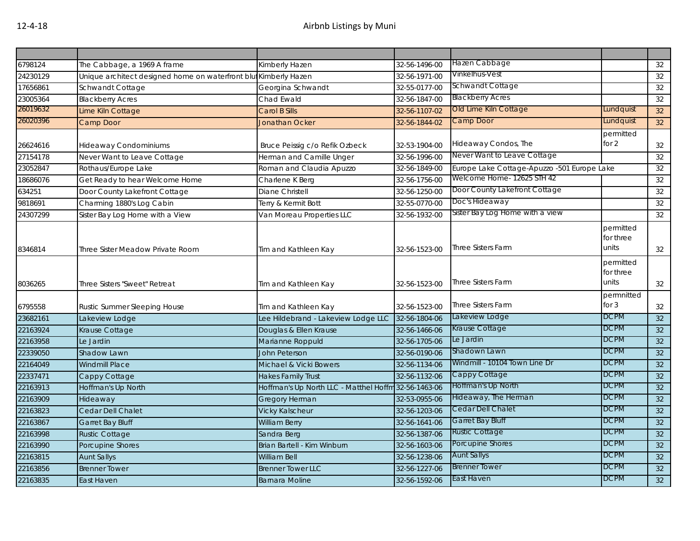| 6798124  | The Cabbage, a 1969 A frame                                      | Kimberly Hazen                                       | 32-56-1496-00 | Hazen Cabbage                               |                                 | 32 |
|----------|------------------------------------------------------------------|------------------------------------------------------|---------------|---------------------------------------------|---------------------------------|----|
| 24230129 | Unique architect designed home on waterfront blut Kimberly Hazen |                                                      | 32-56-1971-00 | Vinkelhus-Vest                              |                                 | 32 |
| 17656861 | Schwandt Cottage                                                 | Georgina Schwandt                                    | 32-55-0177-00 | <b>Schwandt Cottage</b>                     |                                 | 32 |
| 23005364 | <b>Blackberry Acres</b>                                          | Chad Ewald                                           | 32-56-1847-00 | <b>Blackberry Acres</b>                     |                                 | 32 |
| 26019632 | Lime Kiln Cottage                                                | Carol B Sills                                        | 32-56-1107-02 | Old Lime Kiln Cottage                       | Lundquist                       | 32 |
| 26020396 | Camp Door                                                        | <b>Jonathan Ocker</b>                                | 32-56-1844-02 | Camp Door                                   | Lundquist                       | 32 |
| 26624616 | <b>Hideaway Condominiums</b>                                     | Bruce Peissig c/o Refik Ozbeck                       | 32-53-1904-00 | Hideaway Condos, The                        | permitted<br>for $2$            | 32 |
| 27154178 | Never Want to Leave Cottage                                      | Herman and Camille Unger                             | 32-56-1996-00 | Never Want to Leave Cottage                 |                                 | 32 |
| 23052847 | Rothaus/Europe Lake                                              | Roman and Claudia Apuzzo                             | 32-56-1849-00 | Europe Lake Cottage-Apuzzo -501 Europe Lake |                                 | 32 |
| 18686076 | Get Ready to hear Welcome Home                                   | Charlene K Berg                                      | 32-56-1756-00 | Welcome Home- 12625 STH 42                  |                                 | 32 |
| 634251   | Door County Lakefront Cottage                                    | Diane Christell                                      | 32-56-1250-00 | Door County Lakefront Cottage               |                                 | 32 |
| 9818691  | Charming 1880's Log Cabin                                        | Terry & Kermit Bott                                  | 32-55-0770-00 | Doc's Hideaway                              |                                 | 32 |
| 24307299 | Sister Bay Log Home with a View                                  | Van Moreau Properties LLC                            | 32-56-1932-00 | Sister Bay Log Home with a view             |                                 | 32 |
| 8346814  | Three Sister Meadow Private Room                                 | Tim and Kathleen Kay                                 | 32-56-1523-00 | <b>Three Sisters Farm</b>                   | permitted<br>for three<br>units | 32 |
| 8036265  | Three Sisters "Sweet" Retreat                                    | Tim and Kathleen Kay                                 | 32-56-1523-00 | <b>Three Sisters Farm</b>                   | permitted<br>for three<br>units | 32 |
| 6795558  | Rustic Summer Sleeping House                                     | Tim and Kathleen Kay                                 | 32-56-1523-00 | <b>Three Sisters Farm</b>                   | permnitted<br>for $3$           | 32 |
| 23682161 | Lakeview Lodge                                                   | Lee Hildebrand - Lakeview Lodge LLC                  | 32-56-1804-06 | Lakeview Lodge                              | <b>DCPM</b>                     | 32 |
| 22163924 | Krause Cottage                                                   | Douglas & Ellen Krause                               | 32-56-1466-06 | Krause Cottage                              | <b>DCPM</b>                     | 32 |
| 22163958 | Le Jardin                                                        | Marianne Roppuld                                     | 32-56-1705-06 | Le Jardin                                   | <b>DCPM</b>                     | 32 |
| 22339050 | Shadow Lawn                                                      | John Peterson                                        | 32-56-0190-06 | Shadown Lawn                                | <b>DCPM</b>                     | 32 |
| 22164049 | <b>Windmill Place</b>                                            | Michael & Vicki Bowers                               | 32-56-1134-06 | Windmill - 10104 Town Line Dr               | <b>DCPM</b>                     | 32 |
| 22337471 | Cappy Cottage                                                    | <b>Hakes Family Trust</b>                            | 32-56-1132-06 | Cappy Cottage                               | <b>DCPM</b>                     | 32 |
| 22163913 | Hoffman's Up North                                               | Hoffman's Up North LLC - Matthel Hoffm 32-56-1463-06 |               | Hoffman's Up North                          | <b>DCPM</b>                     | 32 |
| 22163909 | Hideaway                                                         | Gregory Herman                                       | 32-53-0955-06 | Hideaway, The Herman                        | <b>DCPM</b>                     | 32 |
| 22163823 | Cedar Dell Chalet                                                | <b>Vicky Kalscheur</b>                               | 32-56-1203-06 | Cedar Dell Chalet                           | <b>DCPM</b>                     | 32 |
| 22163867 | Garret Bay Bluff                                                 | <b>William Berry</b>                                 | 32-56-1641-06 | Garret Bay Bluff                            | <b>DCPM</b>                     | 32 |
| 22163998 | <b>Rustic Cottage</b>                                            | Sandra Berg                                          | 32-56-1387-06 | <b>Rustic Cottage</b>                       | <b>DCPM</b>                     | 32 |
| 22163990 | Porcupine Shores                                                 | Brian Bartell - Kim Winburn                          | 32-56-1603-06 | Porcupine Shores                            | <b>DCPM</b>                     | 32 |
| 22163815 | <b>Aunt Sallys</b>                                               | <b>William Bell</b>                                  | 32-56-1238-06 | <b>Aunt Sallys</b>                          | <b>DCPM</b>                     | 32 |
| 22163856 | <b>Brenner Tower</b>                                             | <b>Brenner Tower LLC</b>                             | 32-56-1227-06 | <b>Brenner Tower</b>                        | <b>DCPM</b>                     | 32 |
| 22163835 | East Haven                                                       | <b>Barnara Moline</b>                                | 32-56-1592-06 | East Haven                                  | <b>DCPM</b>                     | 32 |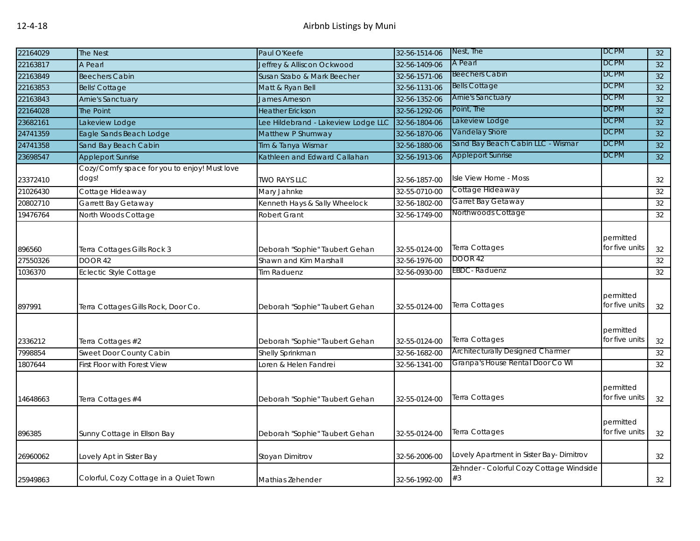| 22164029           | The Nest                                     | Paul O'Keefe                                             | 32-56-1514-06 | Nest, The                                      | <b>DCPM</b>                 | 32 |
|--------------------|----------------------------------------------|----------------------------------------------------------|---------------|------------------------------------------------|-----------------------------|----|
| 22163817           | A Pearl                                      | Jeffrey & Alliscon Ockwood                               | 32-56-1409-06 | A Pearl                                        | <b>DCPM</b>                 | 32 |
| 22163849           | <b>Beechers Cabin</b>                        | Susan Szabo & Mark Beecher                               | 32-56-1571-06 | <b>Beechers Cabin</b>                          | <b>DCPM</b>                 | 32 |
| 22163853           | <b>Bells' Cottage</b>                        | Matt & Ryan Bell                                         | 32-56-1131-06 | <b>Bells Cottage</b>                           | <b>DCPM</b>                 | 32 |
| 22163843           | Arnie's Sanctuary                            | James Arneson                                            | 32-56-1352-06 | <b>Arnie's Sanctuary</b>                       | <b>DCPM</b>                 | 32 |
| 22164028           | The Point                                    | <b>Heather Erickson</b>                                  | 32-56-1292-06 | Point, The                                     | <b>DCPM</b>                 | 32 |
| 23682161           | Lakeview Lodge                               | Lee Hildebrand - Lakeview Lodge LLC                      | 32-56-1804-06 | Lakeview Lodge                                 | <b>DCPM</b>                 | 32 |
| 24741359           | Eagle Sands Beach Lodge                      | Matthew P Shumway                                        | 32-56-1870-06 | Vandelay Shore                                 | <b>DCPM</b>                 | 32 |
| 24741358           | Sand Bay Beach Cabin                         | Tim & Tanya Wismar                                       | 32-56-1880-06 | Sand Bay Beach Cabin LLC - Wismar              | <b>DCPM</b>                 | 32 |
| 23698547           | <b>Appleport Sunrise</b>                     | Kathleen and Edward Callahan                             | 32-56-1913-06 | <b>Appleport Sunrise</b>                       | <b>DCPM</b>                 | 32 |
|                    | Cozy/Comfy space for you to enjoy! Must love |                                                          |               |                                                |                             |    |
| 23372410           | dogs!                                        | <b>TWO RAYS LLC</b>                                      | 32-56-1857-00 | Isle View Home - Moss                          |                             | 32 |
| 21026430           | Cottage Hideaway                             | Mary Jahnke                                              | 32-55-0710-00 | Cottage Hideaway                               |                             | 32 |
| 20802710           | Garrett Bay Getaway                          | Kenneth Hays & Sally Wheelock                            | 32-56-1802-00 | Garret Bay Getaway                             |                             | 32 |
| 19476764           | North Woods Cottage                          | Robert Grant                                             | 32-56-1749-00 | Northwoods Cottage                             |                             | 32 |
| 896560<br>27550326 | Terra Cottages Gills Rock 3                  | Deborah "Sophie" Taubert Gehan<br>Shawn and Kim Marshall | 32-55-0124-00 | Terra Cottages<br><b>DOOR 42</b>               | permitted<br>for five units | 32 |
|                    | DOOR 42                                      |                                                          | 32-56-1976-00 | EBDC-Raduenz                                   |                             | 32 |
| 1036370            | <b>Eclectic Style Cottage</b>                | Tim Raduenz                                              | 32-56-0930-00 |                                                |                             | 32 |
| 897991             | Terra Cottages Gills Rock, Door Co.          | Deborah "Sophie" Taubert Gehan                           | 32-55-0124-00 | Terra Cottages                                 | permitted<br>for five units | 32 |
| 2336212            | Terra Cottages #2                            | Deborah "Sophie" Taubert Gehan                           | 32-55-0124-00 | Terra Cottages                                 | permitted<br>for five units | 32 |
| 7998854            | Sweet Door County Cabin                      | Shelly Sprinkman                                         | 32-56-1682-00 | Architecturally Designed Charmer               |                             | 32 |
| 1807644            | First Floor with Forest View                 | Loren & Helen Fandrei                                    | 32-56-1341-00 | Granpa's House Rental Door Co WI               |                             | 32 |
| 14648663           | Terra Cottages #4                            | Deborah "Sophie" Taubert Gehan                           | 32-55-0124-00 | Terra Cottages                                 | permitted<br>for five units | 32 |
| 896385             | Sunny Cottage in Ellson Bay                  | Deborah "Sophie" Taubert Gehan                           | 32-55-0124-00 | Terra Cottages                                 | permitted<br>for five units | 32 |
| 26960062           | Lovely Apt in Sister Bay                     | Stoyan Dimitrov                                          | 32-56-2006-00 | Lovely Apartment in Sister Bay- Dimitrov       |                             | 32 |
| 25949863           | Colorful, Cozy Cottage in a Quiet Town       | Mathias Zehender                                         | 32-56-1992-00 | Zehnder - Colorful Cozy Cottage Windside<br>#3 |                             | 32 |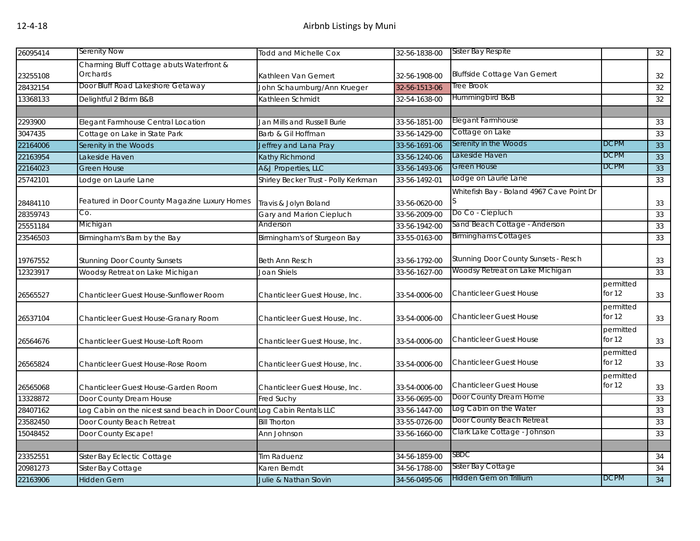| 26095414 | Serenity Now                                                           | <b>Todd and Michelle Cox</b>         | 32-56-1838-00 | Sister Bay Respite                        |             | 32 |
|----------|------------------------------------------------------------------------|--------------------------------------|---------------|-------------------------------------------|-------------|----|
|          | Charming Bluff Cottage abuts Waterfront &                              |                                      |               |                                           |             |    |
| 23255108 | Orchards                                                               | Kathleen Van Gemert                  | 32-56-1908-00 | <b>Bluffside Cottage Van Gemert</b>       |             | 32 |
| 28432154 | Door Bluff Road Lakeshore Getaway                                      | John Schaumburg/Ann Krueger          | 32-56-1513-06 | Tree Brook                                |             | 32 |
| 13368133 | Delightful 2 Bdrm B&B                                                  | Kathleen Schmidt                     | 32-54-1638-00 | Hummingbird B&B                           |             | 32 |
|          |                                                                        |                                      |               |                                           |             |    |
| 2293900  | Elegant Farmhouse Central Location                                     | Jan Mills and Russell Burie          | 33-56-1851-00 | Elegant Farmhouse                         |             | 33 |
| 3047435  | Cottage on Lake in State Park                                          | Barb & Gil Hoffman                   | 33-56-1429-00 | Cottage on Lake                           |             | 33 |
| 22164006 | Serenity in the Woods                                                  | Jeffrey and Lana Pray                | 33-56-1691-06 | Serenity in the Woods                     | <b>DCPM</b> | 33 |
| 22163954 | Lakeside Haven                                                         | Kathy Richmond                       | 33-56-1240-06 | Lakeside Haven                            | <b>DCPM</b> | 33 |
| 22164023 | <b>Green House</b>                                                     | A&J Properties, LLC                  | 33-56-1493-06 | Green House                               | DCPM        | 33 |
| 25742101 | Lodge on Laurie Lane                                                   | Shirley Becker Trust - Polly Kerkman | 33-56-1492-01 | Lodge on Laurie Lane                      |             | 33 |
|          |                                                                        |                                      |               | Whitefish Bay - Boland 4967 Cave Point Dr |             |    |
| 28484110 | Featured in Door County Magazine Luxury Homes                          | Travis & Jolyn Boland                | 33-56-0620-00 | S                                         |             | 33 |
| 28359743 | Co.                                                                    | Gary and Marion Ciepluch             | 33-56-2009-00 | Do Co - Ciepluch                          |             | 33 |
| 25551184 | Michigan                                                               | Anderson                             | 33-56-1942-00 | Sand Beach Cottage - Anderson             |             | 33 |
| 23546503 | Birmingham's Barn by the Bay                                           | Birmingham's of Sturgeon Bay         | 33-55-0163-00 | <b>Birminghams Cottages</b>               |             | 33 |
|          |                                                                        |                                      |               |                                           |             |    |
| 19767552 | <b>Stunning Door County Sunsets</b>                                    | <b>Beth Ann Resch</b>                | 33-56-1792-00 | Stunning Door County Sunsets - Resch      |             | 33 |
| 12323917 | Woodsy Retreat on Lake Michigan                                        | Joan Shiels                          | 33-56-1627-00 | Woodsy Retreat on Lake Michigan           |             | 33 |
|          |                                                                        |                                      |               |                                           | permitted   |    |
| 26565527 | Chanticleer Guest House-Sunflower Room                                 | Chanticleer Guest House, Inc.        | 33-54-0006-00 | <b>Chanticleer Guest House</b>            | for $12$    | 33 |
|          |                                                                        |                                      |               |                                           | permitted   |    |
| 26537104 | Chanticleer Guest House-Granary Room                                   | Chanticleer Guest House, Inc.        | 33-54-0006-00 | <b>Chanticleer Guest House</b>            | for $12$    | 33 |
|          |                                                                        |                                      |               |                                           | permitted   |    |
| 26564676 | Chanticleer Guest House-Loft Room                                      | Chanticleer Guest House, Inc.        | 33-54-0006-00 | <b>Chanticleer Guest House</b>            | for $12$    | 33 |
|          |                                                                        |                                      |               |                                           | permitted   |    |
| 26565824 | Chanticleer Guest House-Rose Room                                      | Chanticleer Guest House, Inc.        | 33-54-0006-00 | <b>Chanticleer Guest House</b>            | for $12$    | 33 |
|          |                                                                        |                                      |               |                                           | permitted   |    |
| 26565068 | Chanticleer Guest House-Garden Room                                    | Chanticleer Guest House, Inc.        | 33-54-0006-00 | <b>Chanticleer Guest House</b>            | for $12$    | 33 |
| 13328872 | Door County Dream House                                                | Fred Suchy                           | 33-56-0695-00 | Door County Dream Home                    |             | 33 |
| 28407162 | Log Cabin on the nicest sand beach in Door Count Log Cabin Rentals LLC |                                      | 33-56-1447-00 | Log Cabin on the Water                    |             | 33 |
| 23582450 | Door County Beach Retreat                                              | <b>Bill Thorton</b>                  | 33-55-0726-00 | Door County Beach Retreat                 |             | 33 |
| 15048452 | Door County Escape!                                                    | Ann Johnson                          | 33-56-1660-00 | Clark Lake Cottage - Johnson              |             | 33 |
|          |                                                                        |                                      |               |                                           |             |    |
| 23352551 | Sister Bay Eclectic Cottage                                            | <b>Tim Raduenz</b>                   | 34-56-1859-00 | <b>SBDC</b>                               |             | 34 |
| 20981273 | Sister Bay Cottage                                                     | Karen Berndt                         | 34-56-1788-00 | Sister Bay Cottage                        |             | 34 |
| 22163906 | <b>Hidden Gem</b>                                                      | Julie & Nathan Slovin                | 34-56-0495-06 | Hidden Gem on Trillium                    | DCPM        | 34 |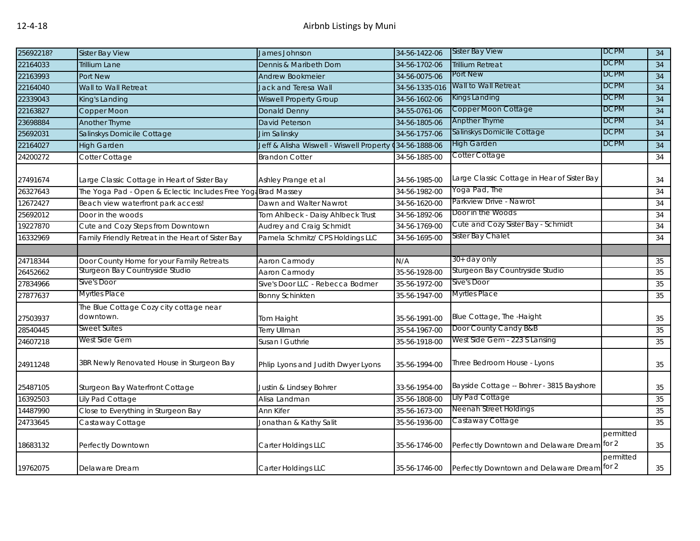| 25692218? | <b>Sister Bay View</b>                                        | James Johnson                            | 34-56-1422-06  | <b>Sister Bay View</b>                                    | <b>DCPM</b> | 34 |
|-----------|---------------------------------------------------------------|------------------------------------------|----------------|-----------------------------------------------------------|-------------|----|
| 22164033  | <b>Trillium Lane</b>                                          | Dennis & Maribeth Dorn                   | 34-56-1702-06  | <b>Trillium Retreat</b>                                   | <b>DCPM</b> | 34 |
| 22163993  | Port New                                                      | <b>Andrew Bookmeier</b>                  | 34-56-0075-06  | Port New                                                  | <b>DCPM</b> | 34 |
| 22164040  | Wall to Wall Retreat                                          | Jack and Teresa Wall                     | 34-56-1335-016 | Wall to Wall Retreat                                      | <b>DCPM</b> | 34 |
| 22339043  | King's Landing                                                | <b>Wiswell Property Group</b>            | 34-56-1602-06  | Kings Landing                                             | <b>DCPM</b> | 34 |
| 22163827  | Copper Moon                                                   | Donald Denny                             | 34-55-0761-06  | Copper Moon Cottage                                       | <b>DCPM</b> | 34 |
| 23698884  | <b>Another Thyme</b>                                          | David Peterson                           | 34-56-1805-06  | Anpther Thyme                                             | <b>DCPM</b> | 34 |
| 25692031  | Salinskys Domicile Cottage                                    | Jim Salinsky                             | 34-56-1757-06  | Salinskys Domicile Cottage                                | <b>DCPM</b> | 34 |
| 22164027  | <b>High Garden</b>                                            | Jeff & Alisha Wiswell - Wiswell Property | 34-56-1888-06  | <b>High Garden</b>                                        | DCPM        | 34 |
| 24200272  | Cotter Cottage                                                | <b>Brandon Cotter</b>                    | 34-56-1885-00  | Cotter Cottage                                            |             | 34 |
| 27491674  | Large Classic Cottage in Heart of Sister Bay                  | Ashley Prange et al                      | 34-56-1985-00  | Large Classic Cottage in Hear of Sister Bay               |             | 34 |
| 26327643  | The Yoga Pad - Open & Eclectic Includes Free Yoga Brad Massey |                                          | 34-56-1982-00  | Yoga Pad, The                                             |             | 34 |
| 12672427  | Beach view waterfront park access!                            | Dawn and Walter Nawrot                   | 34-56-1620-00  | Parkview Drive - Nawrot                                   |             | 34 |
| 25692012  | Door in the woods                                             | Tom Ahlbeck - Daisy Ahlbeck Trust        | 34-56-1892-06  | Door in the Woods                                         |             | 34 |
| 19227870  | Cute and Cozy Steps from Downtown                             | Audrey and Craig Schmidt                 | 34-56-1769-00  | Cute and Cozy Sister Bay - Schmidt                        |             | 34 |
| 16332969  | Family Friendly Retreat in the Heart of Sister Bay            | Pamela Schmitz/ CPS Holdings LLC         | 34-56-1695-00  | Sister Bay Chalet                                         |             | 34 |
|           |                                                               |                                          |                |                                                           |             |    |
| 24718344  | Door County Home for your Family Retreats                     | Aaron Carmody                            | N/A            | 30+ day only                                              |             | 35 |
| 26452662  | Sturgeon Bay Countryside Studio                               | Aaron Carmody                            | 35-56-1928-00  | Sturgeon Bay Countryside Studio                           |             | 35 |
| 27834966  | Sive's Door                                                   | Sive's Door LLC - Rebecca Bodmer         | 35-56-1972-00  | Sive's Door                                               |             | 35 |
| 27877637  | Myrtles Place                                                 | <b>Bonny Schinkten</b>                   | 35-56-1947-00  | <b>Myrtles Place</b>                                      |             | 35 |
| 27503937  | The Blue Cottage Cozy city cottage near<br>downtown.          | Tom Haight                               | 35-56-1991-00  | Blue Cottage, The -Haight                                 |             | 35 |
| 28540445  | Sweet Suites                                                  | Terry Ullman                             | 35-54-1967-00  | Door County Candy B&B                                     |             | 35 |
| 24607218  | West Side Gem                                                 | Susan I Guthrie                          | 35-56-1918-00  | West Side Gem - 223 S Lansing                             |             | 35 |
| 24911248  | 3BR Newly Renovated House in Sturgeon Bay                     | Phlip Lyons and Judith Dwyer Lyons       | 35-56-1994-00  | Three Bedroom House - Lyons                               |             | 35 |
| 25487105  | Sturgeon Bay Waterfront Cottage                               | Justin & Lindsey Bohrer                  | 33-56-1954-00  | Bayside Cottage -- Bohrer - 3815 Bayshore                 |             | 35 |
| 16392503  | Lily Pad Cottage                                              | Alisa Landman                            | 35-56-1808-00  | Lily Pad Cottage                                          |             | 35 |
| 14487990  | Close to Everything in Sturgeon Bay                           | Ann Kifer                                | 35-56-1673-00  | Neenah Street Holdings                                    |             | 35 |
| 24733645  | Castaway Cottage                                              | Jonathan & Kathy Salit                   | 35-56-1936-00  | Castaway Cottage                                          |             | 35 |
| 18683132  | Perfectly Downtown                                            | Carter Holdings LLC                      | 35-56-1746-00  | Perfectly Downtown and Delaware Dream for 2               | permitted   | 35 |
| 19762075  | Delaware Dream                                                | Carter Holdings LLC                      |                | 35-56-1746-00 Perfectly Downtown and Delaware Dream for 2 | permitted   | 35 |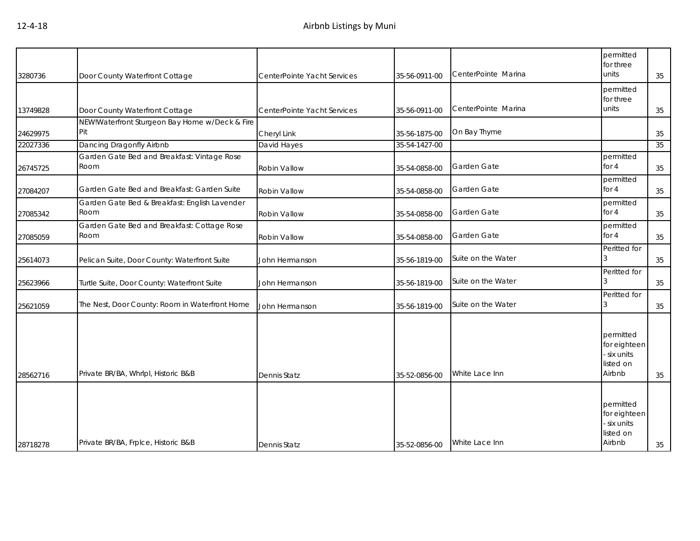| 3280736  | Door County Waterfront Cottage                        | CenterPointe Yacht Services | 35-56-0911-00 | CenterPointe Marina | permitted<br>for three<br>units                                 | 35 |
|----------|-------------------------------------------------------|-----------------------------|---------------|---------------------|-----------------------------------------------------------------|----|
| 13749828 | Door County Waterfront Cottage                        | CenterPointe Yacht Services | 35-56-0911-00 | CenterPointe Marina | permitted<br>for three<br>units                                 | 35 |
| 24629975 | NEW!Waterfront Sturgeon Bay Home w/Deck & Fire<br>Pit | Cheryl Link                 | 35-56-1875-00 | On Bay Thyme        |                                                                 | 35 |
| 22027336 | Dancing Dragonfly Airbnb                              | David Hayes                 | 35-54-1427-00 |                     |                                                                 | 35 |
| 26745725 | Garden Gate Bed and Breakfast: Vintage Rose<br>Room   | Robin Vallow                | 35-54-0858-00 | Garden Gate         | permitted<br>for 4                                              | 35 |
| 27084207 | Garden Gate Bed and Breakfast: Garden Suite           | Robin Vallow                | 35-54-0858-00 | Garden Gate         | permitted<br>for 4                                              | 35 |
| 27085342 | Garden Gate Bed & Breakfast: English Lavender<br>Room | Robin Vallow                | 35-54-0858-00 | Garden Gate         | permitted<br>for 4                                              | 35 |
| 27085059 | Garden Gate Bed and Breakfast: Cottage Rose<br>Room   | Robin Vallow                | 35-54-0858-00 | Garden Gate         | permitted<br>for 4                                              | 35 |
| 25614073 | Pelican Suite, Door County: Waterfront Suite          | John Hermanson              | 35-56-1819-00 | Suite on the Water  | Peritted for                                                    | 35 |
| 25623966 | Turtle Suite, Door County: Waterfront Suite           | John Hermanson              | 35-56-1819-00 | Suite on the Water  | Peritted for                                                    | 35 |
| 25621059 | The Nest, Door County: Room in Waterfront Home        | John Hermanson              | 35-56-1819-00 | Suite on the Water  | Peritted for<br>3                                               | 35 |
| 28562716 | Private BR/BA, Whrlpl, Historic B&B                   | Dennis Statz                | 35-52-0856-00 | White Lace Inn      | permitted<br>for eighteen<br>- six units<br>listed on<br>Airbnb | 35 |
| 28718278 | Private BR/BA, Frplce, Historic B&B                   | Dennis Statz                | 35-52-0856-00 | White Lace Inn      | permitted<br>for eighteen<br>- six units<br>listed on<br>Airbnb | 35 |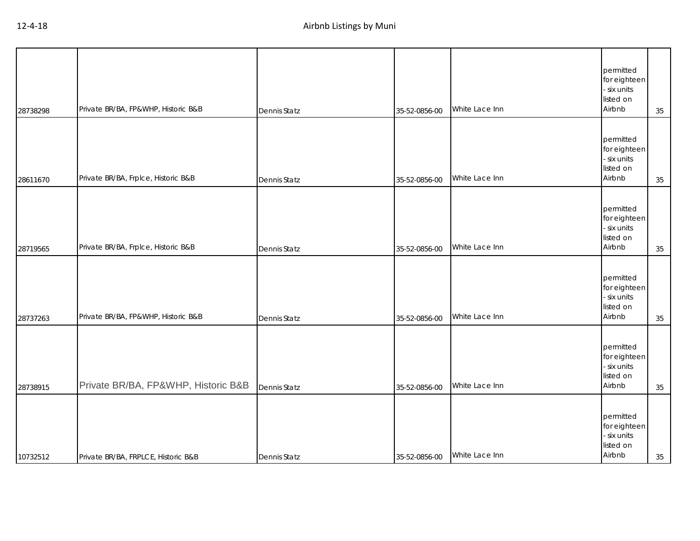| 28738298 | Private BR/BA, FP&WHP, Historic B&B | <b>Dennis Statz</b> | 35-52-0856-00 | White Lace Inn | permitted<br>for eighteen<br>- six units<br>listed on<br>Airbnb | 35 |
|----------|-------------------------------------|---------------------|---------------|----------------|-----------------------------------------------------------------|----|
| 28611670 | Private BR/BA, Frplce, Historic B&B | Dennis Statz        | 35-52-0856-00 | White Lace Inn | permitted<br>for eighteen<br>- six units<br>listed on<br>Airbnb | 35 |
| 28719565 | Private BR/BA, Frplce, Historic B&B | Dennis Statz        | 35-52-0856-00 | White Lace Inn | permitted<br>for eighteen<br>- six units<br>listed on<br>Airbnb | 35 |
| 28737263 | Private BR/BA, FP&WHP, Historic B&B | Dennis Statz        | 35-52-0856-00 | White Lace Inn | permitted<br>for eighteen<br>- six units<br>listed on<br>Airbnb | 35 |
| 28738915 | Private BR/BA, FP&WHP, Historic B&B | Dennis Statz        | 35-52-0856-00 | White Lace Inn | permitted<br>for eighteen<br>- six units<br>listed on<br>Airbnb | 35 |
| 10732512 | Private BR/BA, FRPLCE, Historic B&B | <b>Dennis Statz</b> | 35-52-0856-00 | White Lace Inn | permitted<br>for eighteen<br>- six units<br>listed on<br>Airbnb | 35 |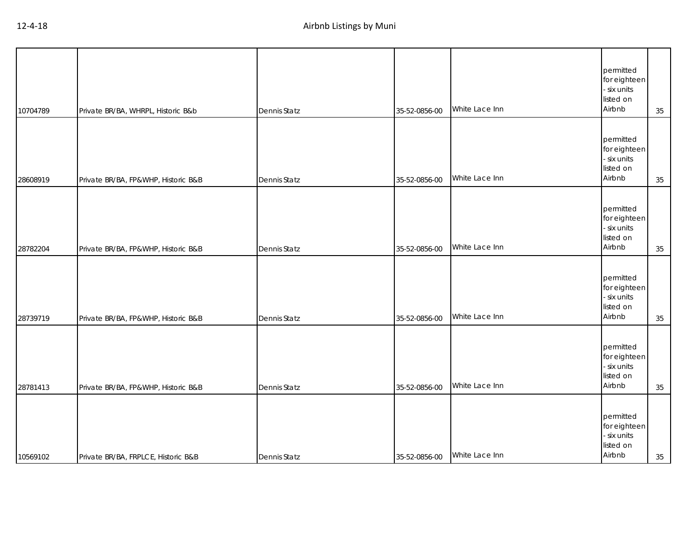| 10704789 | Private BR/BA, WHRPL, Historic B&b  | Dennis Statz        | 35-52-0856-00 | White Lace Inn | permitted<br>for eighteen<br>- six units<br>listed on<br>Airbnb | 35 |
|----------|-------------------------------------|---------------------|---------------|----------------|-----------------------------------------------------------------|----|
| 28608919 | Private BR/BA, FP&WHP, Historic B&B | Dennis Statz        | 35-52-0856-00 | White Lace Inn | permitted<br>for eighteen<br>- six units<br>listed on<br>Airbnb | 35 |
| 28782204 | Private BR/BA, FP&WHP, Historic B&B | Dennis Statz        | 35-52-0856-00 | White Lace Inn | permitted<br>for eighteen<br>- six units<br>listed on<br>Airbnb | 35 |
| 28739719 | Private BR/BA, FP&WHP, Historic B&B | Dennis Statz        | 35-52-0856-00 | White Lace Inn | permitted<br>for eighteen<br>- six units<br>listed on<br>Airbnb | 35 |
| 28781413 | Private BR/BA, FP&WHP, Historic B&B | Dennis Statz        | 35-52-0856-00 | White Lace Inn | permitted<br>for eighteen<br>- six units<br>listed on<br>Airbnb | 35 |
| 10569102 | Private BR/BA, FRPLCE, Historic B&B | <b>Dennis Statz</b> | 35-52-0856-00 | White Lace Inn | permitted<br>for eighteen<br>- six units<br>listed on<br>Airbnb | 35 |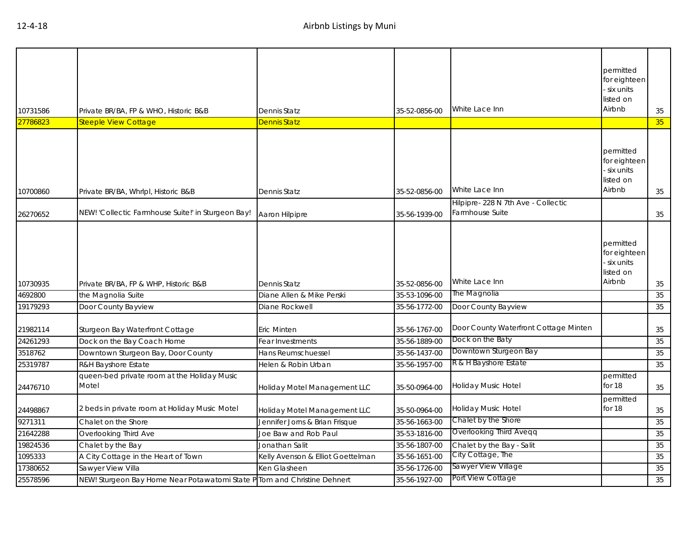| 10731586 | Private BR/BA, FP & WHO, Historic B&B                                    | Dennis Statz                      | 35-52-0856-00 | White Lace Inn                                        | permitted<br>for eighteen<br>six units<br>listed on<br>Airbnb | 35 |
|----------|--------------------------------------------------------------------------|-----------------------------------|---------------|-------------------------------------------------------|---------------------------------------------------------------|----|
| 27786823 | <b>Steeple View Cottage</b>                                              | Dennis Statz                      |               |                                                       |                                                               | 35 |
| 10700860 | Private BR/BA, Whrlpl, Historic B&B                                      | Dennis Statz                      | 35-52-0856-00 | White Lace Inn                                        | permitted<br>for eighteen<br>six units<br>listed on<br>Airbnb | 35 |
|          | NEW! 'Collectic Farmhouse Suite!' in Sturgeon Bay!                       |                                   |               | Hilpipre-228 N 7th Ave - Collectic<br>Farmhouse Suite |                                                               |    |
| 26270652 |                                                                          | Aaron Hilpipre                    | 35-56-1939-00 |                                                       |                                                               | 35 |
| 10730935 | Private BR/BA, FP & WHP, Historic B&B                                    | Dennis Statz                      | 35-52-0856-00 | White Lace Inn                                        | permitted<br>for eighteen<br>six units<br>listed on<br>Airbnb | 35 |
| 4692800  | the Magnolia Suite                                                       | Diane Allen & Mike Perski         | 35-53-1096-00 | The Magnolia                                          |                                                               | 35 |
| 19179293 | Door County Bayview                                                      | Diane Rockwell                    | 35-56-1772-00 | Door County Bayview                                   |                                                               | 35 |
| 21982114 | Sturgeon Bay Waterfront Cottage                                          | <b>Eric Minten</b>                | 35-56-1767-00 | Door County Waterfront Cottage Minten                 |                                                               | 35 |
| 24261293 | Dock on the Bay Coach Home                                               | Fear Investments                  | 35-56-1889-00 | Dock on the Baty                                      |                                                               | 35 |
| 3518762  | Downtown Sturgeon Bay, Door County                                       | Hans Reumschuessel                | 35-56-1437-00 | Downtown Sturgeon Bay                                 |                                                               | 35 |
| 25319787 | <b>R&amp;H Bayshore Estate</b>                                           | Helen & Robin Urban               | 35-56-1957-00 | R & H Bayshore Estate                                 |                                                               | 35 |
| 24476710 | queen-bed private room at the Holiday Music<br>Motel                     | Holiday Motel Management LLC      | 35-50-0964-00 | Holiday Music Hotel                                   | permitted<br>for 18                                           | 35 |
| 24498867 | 2 beds in private room at Holiday Music Motel                            | Holiday Motel Management LLC      | 35-50-0964-00 | Holiday Music Hotel                                   | permitted<br>for 18                                           | 35 |
| 9271311  | Chalet on the Shore                                                      | Jennifer Jorns & Brian Frisque    | 35-56-1663-00 | Chalet by the Shore                                   |                                                               | 35 |
| 21642288 | Overlooking Third Ave                                                    | Joe Baw and Rob Paul              | 35-53-1816-00 | Overlooking Third Aveqq                               |                                                               | 35 |
| 19824536 | Chalet by the Bay                                                        | Jonathan Salit                    | 35-56-1807-00 | Chalet by the Bay - Salit                             |                                                               | 35 |
| 1095333  | A City Cottage in the Heart of Town                                      | Kelly Avenson & Elliot Goettelman | 35-56-1651-00 | City Cottage, The                                     |                                                               | 35 |
| 17380652 | Sawyer View Villa                                                        | Ken Glasheen                      | 35-56-1726-00 | Sawyer View Village                                   |                                                               | 35 |
| 25578596 | NEW! Sturgeon Bay Home Near Potawatomi State P Tom and Christine Dehnert |                                   | 35-56-1927-00 | Port View Cottage                                     |                                                               | 35 |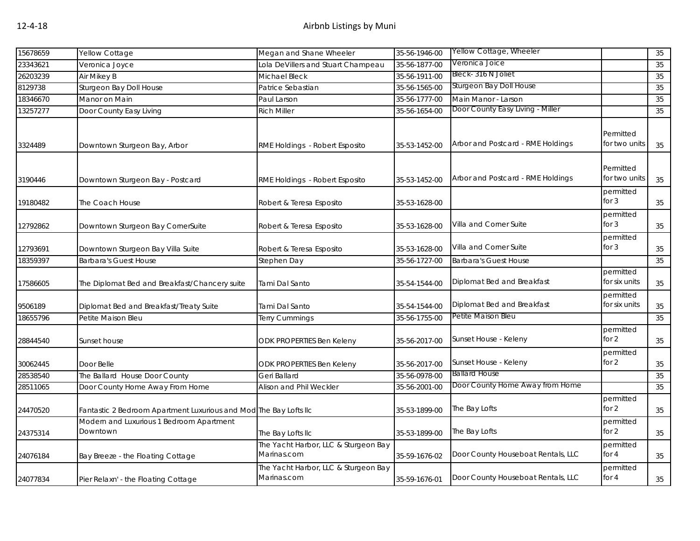| 15678659 | Yellow Cottage                                                    | Megan and Shane Wheeler                             | 35-56-1946-00 | Yellow Cottage, Wheeler            |                            | 35 |
|----------|-------------------------------------------------------------------|-----------------------------------------------------|---------------|------------------------------------|----------------------------|----|
| 23343621 | Veronica Joyce                                                    | Lola DeVillers and Stuart Champeau                  | 35-56-1877-00 | Veronica Joice                     |                            | 35 |
| 26203239 | Air Mikey B                                                       | Michael Bleck                                       | 35-56-1911-00 | Bleck-316 N Joliet                 |                            | 35 |
| 8129738  | Sturgeon Bay Doll House                                           | Patrice Sebastian                                   | 35-56-1565-00 | Sturgeon Bay Doll House            |                            | 35 |
| 18346670 | Manor on Main                                                     | Paul Larson                                         | 35-56-1777-00 | Main Manor - Larson                |                            | 35 |
| 13257277 | Door County Easy Living                                           | <b>Rich Miller</b>                                  | 35-56-1654-00 | Door County Easy Living - Miller   |                            | 35 |
| 3324489  | Downtown Sturgeon Bay, Arbor                                      | RME Holdings - Robert Esposito                      | 35-53-1452-00 | Arbor and Postcard - RME Holdings  | Permitted<br>for two units | 35 |
| 3190446  | Downtown Sturgeon Bay - Postcard                                  | RME Holdings - Robert Esposito                      | 35-53-1452-00 | Arbor and Postcard - RME Holdings  | Permitted<br>for two units | 35 |
| 19180482 | The Coach House                                                   | Robert & Teresa Esposito                            | 35-53-1628-00 |                                    | permitted<br>for $3$       | 35 |
| 12792862 | Downtown Sturgeon Bay CornerSuite                                 | Robert & Teresa Esposito                            | 35-53-1628-00 | Villa and Corner Suite             | permitted<br>for $3$       | 35 |
| 12793691 | Downtown Sturgeon Bay Villa Suite                                 | Robert & Teresa Esposito                            | 35-53-1628-00 | Villa and Corner Suite             | permitted<br>for $3$       | 35 |
| 18359397 | <b>Barbara's Guest House</b>                                      | Stephen Day                                         | 35-56-1727-00 | <b>Barbara's Guest House</b>       |                            | 35 |
| 17586605 | The Diplomat Bed and Breakfast/Chancery suite                     | Tami Dal Santo                                      | 35-54-1544-00 | Diplomat Bed and Breakfast         | permitted<br>for six units | 35 |
| 9506189  | Diplomat Bed and Breakfast/Treaty Suite                           | Tami Dal Santo                                      | 35-54-1544-00 | Diplomat Bed and Breakfast         | permitted<br>for six units | 35 |
| 18655796 | Petite Maison Bleu                                                | Terry Cummings                                      | 35-56-1755-00 | Petite Maison Bleu                 |                            | 35 |
| 28844540 | Sunset house                                                      | <b>ODK PROPERTIES Ben Keleny</b>                    | 35-56-2017-00 | Sunset House - Keleny              | permitted<br>for 2         | 35 |
| 30062445 | Door Belle                                                        | ODK PROPERTIES Ben Keleny                           | 35-56-2017-00 | Sunset House - Keleny              | permitted<br>for $2$       | 35 |
| 28538540 | The Ballard House Door County                                     | Geri Ballard                                        | 35-56-0978-00 | <b>Ballard House</b>               |                            | 35 |
| 28511065 | Door County Home Away From Home                                   | Alison and Phil Weckler                             | 35-56-2001-00 | Door County Home Away from Home    |                            | 35 |
| 24470520 | Fantastic 2 Bedroom Apartment Luxurious and Mod The Bay Lofts IIc |                                                     | 35-53-1899-00 | The Bay Lofts                      | permitted<br>for $2$       | 35 |
| 24375314 | Modern and Luxurious 1 Bedroom Apartment<br>Downtown              | The Bay Lofts IIc                                   | 35-53-1899-00 | The Bay Lofts                      | permitted<br>for $2$       | 35 |
| 24076184 | Bay Breeze - the Floating Cottage                                 | The Yacht Harbor, LLC & Sturgeon Bay<br>Marinas.com | 35-59-1676-02 | Door County Houseboat Rentals, LLC | permitted<br>for 4         | 35 |
| 24077834 | Pier Relaxn' - the Floating Cottage                               | The Yacht Harbor, LLC & Sturgeon Bay<br>Marinas.com | 35-59-1676-01 | Door County Houseboat Rentals, LLC | permitted<br>for 4         | 35 |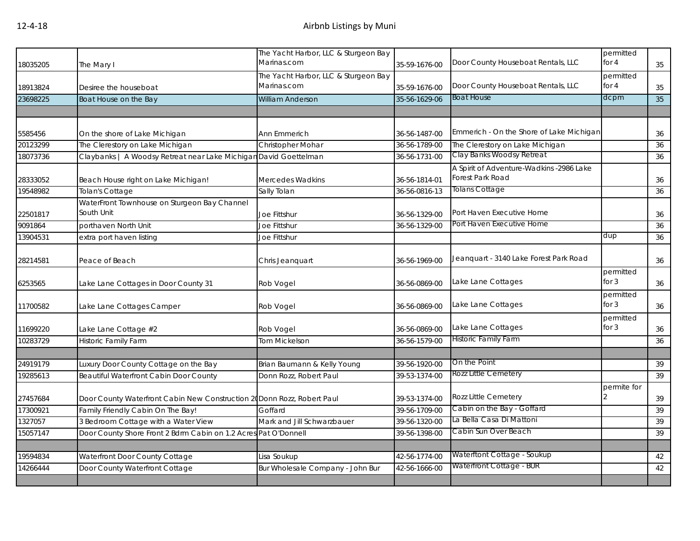| 18035205 | The Mary I                                                              | The Yacht Harbor, LLC & Sturgeon Bay<br>Marinas.com | 35-59-1676-00 | Door County Houseboat Rentals, LLC                           | permitted<br>for $4$ | 35 |
|----------|-------------------------------------------------------------------------|-----------------------------------------------------|---------------|--------------------------------------------------------------|----------------------|----|
| 18913824 | Desiree the houseboat                                                   | The Yacht Harbor, LLC & Sturgeon Bay<br>Marinas.com | 35-59-1676-00 | Door County Houseboat Rentals, LLC                           | permitted<br>for $4$ | 35 |
| 23698225 | Boat House on the Bay                                                   | <b>William Anderson</b>                             | 35-56-1629-06 | <b>Boat House</b>                                            | dcpm                 | 35 |
|          |                                                                         |                                                     |               |                                                              |                      |    |
| 5585456  | On the shore of Lake Michigan                                           | Ann Emmerich                                        | 36-56-1487-00 | Emmerich - On the Shore of Lake Michigan                     |                      | 36 |
| 20123299 | The Clerestory on Lake Michigan                                         | Christopher Mohar                                   | 36-56-1789-00 | The Clerestory on Lake Michigan                              |                      | 36 |
| 18073736 | Claybanks   A Woodsy Retreat near Lake Michigan David Goettelman        |                                                     | 36-56-1731-00 | Clay Banks Woodsy Retreat                                    |                      | 36 |
| 28333052 | Beach House right on Lake Michigan!                                     | Mercedes Wadkins                                    | 36-56-1814-01 | A Spirit of Adventure-Wadkins -2986 Lake<br>Forest Park Road |                      | 36 |
| 19548982 | Tolan's Cottage                                                         | Sally Tolan                                         | 36-56-0816-13 | <b>Tolans Cottage</b>                                        |                      | 36 |
| 22501817 | WaterFront Townhouse on Sturgeon Bay Channel<br>South Unit              | Joe Fittshur                                        | 36-56-1329-00 | Port Haven Executive Home                                    |                      | 36 |
| 9091864  | porthaven North Unit                                                    | Joe Fittshur                                        | 36-56-1329-00 | Port Haven Executive Home                                    |                      | 36 |
| 13904531 | extra port haven listing                                                | Joe Fittshur                                        |               |                                                              | dup                  | 36 |
| 28214581 | Peace of Beach                                                          | Chris Jeanquart                                     | 36-56-1969-00 | Jeanquart - 3140 Lake Forest Park Road                       |                      | 36 |
| 6253565  | Lake Lane Cottages in Door County 31                                    | Rob Vogel                                           | 36-56-0869-00 | Lake Lane Cottages                                           | permitted<br>for $3$ | 36 |
| 11700582 | Lake Lane Cottages Camper                                               | Rob Vogel                                           | 36-56-0869-00 | Lake Lane Cottages                                           | permitted<br>for $3$ | 36 |
| 11699220 | Lake Lane Cottage #2                                                    | Rob Vogel                                           | 36-56-0869-00 | Lake Lane Cottages                                           | permitted<br>for $3$ | 36 |
| 10283729 | <b>Historic Family Farm</b>                                             | <b>Tom Mickelson</b>                                | 36-56-1579-00 | <b>Historic Family Farm</b>                                  |                      | 36 |
|          |                                                                         |                                                     |               |                                                              |                      |    |
| 24919179 | Luxury Door County Cottage on the Bay                                   | Brian Baumann & Kelly Young                         | 39-56-1920-00 | On the Point                                                 |                      | 39 |
| 19285613 | Beautiful Waterfront Cabin Door County                                  | Donn Rozz, Robert Paul                              | 39-53-1374-00 | Rozz Little Cemetery                                         |                      | 39 |
| 27457684 | Door County Waterfront Cabin New Construction 20 Donn Rozz, Robert Paul |                                                     | 39-53-1374-00 | Rozz Little Cemetery                                         | permite for          | 39 |
| 17300921 | Family Friendly Cabin On The Bay!                                       | Goffard                                             | 39-56-1709-00 | Cabin on the Bay - Goffard                                   |                      | 39 |
| 1327057  | 3 Bedroom Cottage with a Water View                                     | Mark and Jill Schwarzbauer                          | 39-56-1320-00 | La Bella Casa Di Mattoni                                     |                      | 39 |
| 15057147 | Door County Shore Front 2 Bdrm Cabin on 1.2 Acres Pat O'Donnell         |                                                     | 39-56-1398-00 | Cabin Sun Over Beach                                         |                      | 39 |
|          |                                                                         |                                                     |               |                                                              |                      |    |
| 19594834 | Waterfront Door County Cottage                                          | Lisa Soukup                                         | 42-56-1774-00 | Waterftont Cottage - Soukup                                  |                      | 42 |
| 14266444 | Door County Waterfront Cottage                                          | Bur Wholesale Company - John Bur                    | 42-56-1666-00 | Waterfront Cottage - BUR                                     |                      | 42 |
|          |                                                                         |                                                     |               |                                                              |                      |    |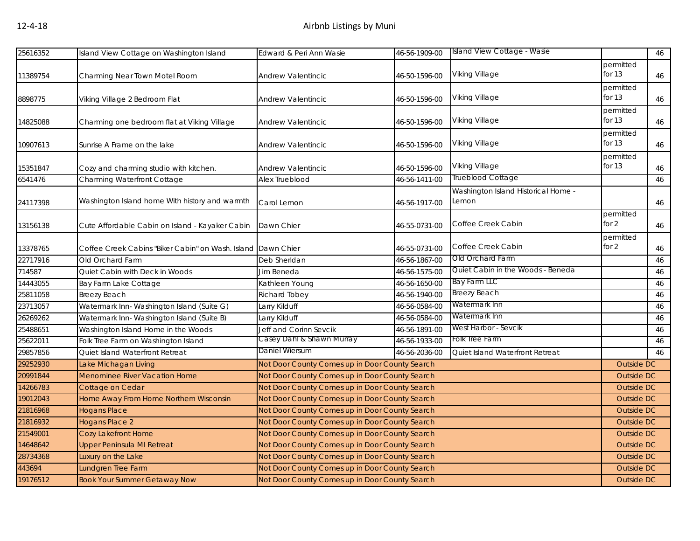| 25616352 | Island View Cottage on Washington Island                     | Edward & Peri Ann Wasie                        | 46-56-1909-00 | Island View Cottage - Wasie                  |                       | 46 |
|----------|--------------------------------------------------------------|------------------------------------------------|---------------|----------------------------------------------|-----------------------|----|
| 11389754 | Charming Near Town Motel Room                                | <b>Andrew Valentincic</b>                      | 46-50-1596-00 | Viking Village                               | permitted<br>for $13$ | 46 |
| 8898775  | Viking Village 2 Bedroom Flat                                | Andrew Valentincic                             | 46-50-1596-00 | Viking Village                               | permitted<br>for $13$ | 46 |
| 14825088 | Charming one bedroom flat at Viking Village                  | Andrew Valentincic                             | 46-50-1596-00 | Viking Village                               | permitted<br>for $13$ | 46 |
| 10907613 | Sunrise A Frame on the lake                                  | Andrew Valentincic                             | 46-50-1596-00 | Viking Village                               | permitted<br>for $13$ | 46 |
| 15351847 | Cozy and charming studio with kitchen.                       | Andrew Valentincic                             | 46-50-1596-00 | Viking Village                               | permitted<br>for $13$ | 46 |
| 6541476  | Charming Waterfront Cottage                                  | Alex Trueblood                                 | 46-56-1411-00 | Trueblood Cottage                            |                       | 46 |
| 24117398 | Washington Island home With history and warmth               | Carol Lemon                                    | 46-56-1917-00 | Washington Island Historical Home -<br>Lemon |                       | 46 |
| 13156138 | Cute Affordable Cabin on Island - Kayaker Cabin              | Dawn Chier                                     | 46-55-0731-00 | Coffee Creek Cabin                           | permitted<br>for $2$  | 46 |
| 13378765 | Coffee Creek Cabins "Biker Cabin" on Wash. Island Dawn Chier |                                                | 46-55-0731-00 | Coffee Creek Cabin                           | permitted<br>for $2$  | 46 |
| 22717916 | Old Orchard Farm                                             | Deb Sheridan                                   | 46-56-1867-00 | Old Orchard Farm                             |                       | 46 |
| 714587   | Quiet Cabin with Deck in Woods                               | Jim Beneda                                     | 46-56-1575-00 | Quiet Cabin in the Woods - Beneda            |                       | 46 |
| 14443055 | Bay Farm Lake Cottage                                        | Kathleen Young                                 | 46-56-1650-00 | Bay Farm LLC                                 |                       | 46 |
| 25811058 | <b>Breezy Beach</b>                                          | Richard Tobey                                  | 46-56-1940-00 | Breezy Beach                                 |                       | 46 |
| 23713057 | Watermark Inn- Washington Island (Suite G)                   | Larry Kilduff                                  | 46-56-0584-00 | Watermark Inn                                |                       | 46 |
| 26269262 | Watermark Inn-Washington Island (Suite B)                    | Larry Kilduff                                  | 46-56-0584-00 | Watermark Inn                                |                       | 46 |
| 25488651 | Washington Island Home in the Woods                          | Jeff and Corinn Sevcik                         | 46-56-1891-00 | West Harbor - Sevcik                         |                       | 46 |
| 25622011 | Folk Tree Farm on Washington Island                          | Casey Dahl & Shawn Murray                      | 46-56-1933-00 | Folk Tree Farm                               |                       | 46 |
| 29857856 | Quiet Island Waterfront Retreat                              | Daniel Wiersum                                 | 46-56-2036-00 | Quiet Island Waterfront Retreat              |                       | 46 |
| 29252930 | Lake Michagan Living                                         | Not Door County Comes up in Door County Search |               |                                              | Outside DC            |    |
| 20991844 | <b>Menominee River Vacation Home</b>                         | Not Door County Comes up in Door County Search |               |                                              | <b>Outside DC</b>     |    |
| 14266783 | Cottage on Cedar                                             | Not Door County Comes up in Door County Search |               |                                              | <b>Outside DC</b>     |    |
| 19012043 | Home Away From Home Northern Wisconsin                       | Not Door County Comes up in Door County Search |               |                                              | <b>Outside DC</b>     |    |
| 21816968 | <b>Hogans Place</b>                                          | Not Door County Comes up in Door County Search |               |                                              | <b>Outside DC</b>     |    |
| 21816932 | <b>Hogans Place 2</b>                                        | Not Door County Comes up in Door County Search |               |                                              | <b>Outside DC</b>     |    |
| 21549001 | <b>Cozy Lakefront Home</b>                                   | Not Door County Comes up in Door County Search |               |                                              | <b>Outside DC</b>     |    |
| 14648642 | <b>Upper Peninsula MI Retreat</b>                            | Not Door County Comes up in Door County Search |               |                                              | <b>Outside DC</b>     |    |
| 28734368 | Luxury on the Lake                                           | Not Door County Comes up in Door County Search |               |                                              | <b>Outside DC</b>     |    |
| 443694   | Lundgren Tree Farm                                           | Not Door County Comes up in Door County Search |               |                                              | <b>Outside DC</b>     |    |
| 19176512 | <b>Book Your Summer Getaway Now</b>                          | Not Door County Comes up in Door County Search |               |                                              | <b>Outside DC</b>     |    |